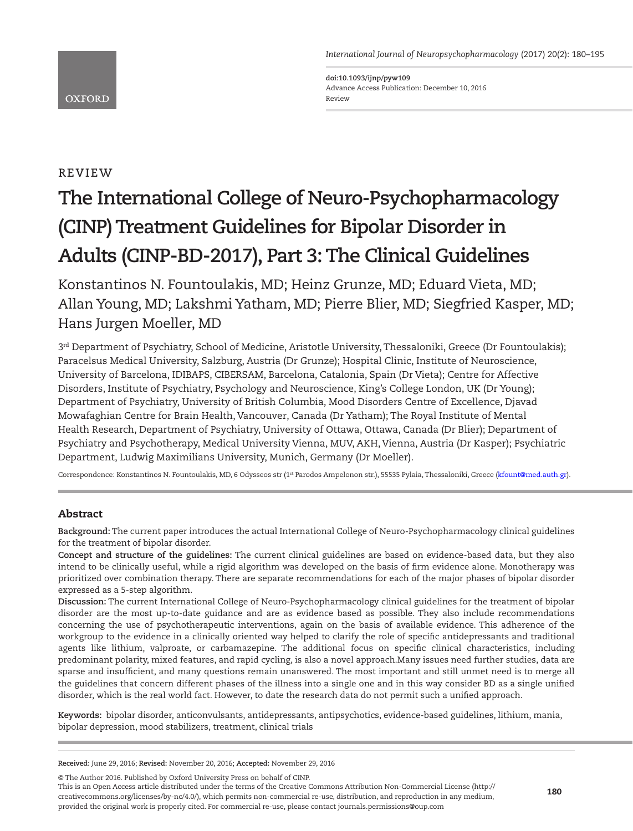*International Journal of Neuropsychopharmacology* (2017) 20(2): 180–195

**doi:10.1093/ijnp/pyw109** Advance Access Publication: December 10, 2016 Review

# **OXFORD**

# review

# **The International College of Neuro-Psychopharmacology (CINP) Treatment Guidelines for Bipolar Disorder in Adults (CINP-BD-2017), Part 3: The Clinical Guidelines**

Konstantinos N. Fountoulakis, MD; Heinz Grunze, MD; Eduard Vieta, MD; Allan Young, MD; Lakshmi Yatham, MD; Pierre Blier, MD; Siegfried Kasper, MD; Hans Jurgen Moeller, MD

3<sup>rd</sup> Department of Psychiatry, School of Medicine, Aristotle University, Thessaloniki, Greece (Dr Fountoulakis); Paracelsus Medical University, Salzburg, Austria (Dr Grunze); Hospital Clinic, Institute of Neuroscience, University of Barcelona, IDIBAPS, CIBERSAM, Barcelona, Catalonia, Spain (Dr Vieta); Centre for Affective Disorders, Institute of Psychiatry, Psychology and Neuroscience, King's College London, UK (Dr Young); Department of Psychiatry, University of British Columbia, Mood Disorders Centre of Excellence, Djavad Mowafaghian Centre for Brain Health, Vancouver, Canada (Dr Yatham); The Royal Institute of Mental Health Research, Department of Psychiatry, University of Ottawa, Ottawa, Canada (Dr Blier); Department of Psychiatry and Psychotherapy, Medical University Vienna, MUV, AKH, Vienna, Austria (Dr Kasper); Psychiatric Department, Ludwig Maximilians University, Munich, Germany (Dr Moeller).

Correspondence: Konstantinos N. Fountoulakis, MD, 6 Odysseos str (1<sup>st</sup> Parodos Ampelonon str.), 55535 Pylaia, Thessaloniki, Greece [\(kfount@med.auth.gr](mailto:kfount@med.auth.gr?subject=)).

# Abstract

**Background:** The current paper introduces the actual International College of Neuro-Psychopharmacology clinical guidelines for the treatment of bipolar disorder.

**Concept and structure of the guidelines:** The current clinical guidelines are based on evidence-based data, but they also intend to be clinically useful, while a rigid algorithm was developed on the basis of firm evidence alone. Monotherapy was prioritized over combination therapy. There are separate recommendations for each of the major phases of bipolar disorder expressed as a 5-step algorithm.

**Discussion:** The current International College of Neuro-Psychopharmacology clinical guidelines for the treatment of bipolar disorder are the most up-to-date guidance and are as evidence based as possible. They also include recommendations concerning the use of psychotherapeutic interventions, again on the basis of available evidence. This adherence of the workgroup to the evidence in a clinically oriented way helped to clarify the role of specific antidepressants and traditional agents like lithium, valproate, or carbamazepine. The additional focus on specific clinical characteristics, including predominant polarity, mixed features, and rapid cycling, is also a novel approach.Many issues need further studies, data are sparse and insufficient, and many questions remain unanswered. The most important and still unmet need is to merge all the guidelines that concern different phases of the illness into a single one and in this way consider BD as a single unified disorder, which is the real world fact. However, to date the research data do not permit such a unified approach.

**Keywords:** bipolar disorder, anticonvulsants, antidepressants, antipsychotics, evidence-based guidelines, lithium, mania, bipolar depression, mood stabilizers, treatment, clinical trials

**Received:** June 29, 2016; **Revised:** November 20, 2016; **Accepted:** November 29, 2016

© The Author 2016. Published by Oxford University Press on behalf of CINP.

<sup>180</sup> This is an Open Access article distributed under the terms of the Creative Commons Attribution Non-Commercial License (http:// creativecommons.org/licenses/by-nc/4.0/), which permits non-commercial re-use, distribution, and reproduction in any medium, provided the original work is properly cited. For commercial re-use, please contact journals.permissions@oup.com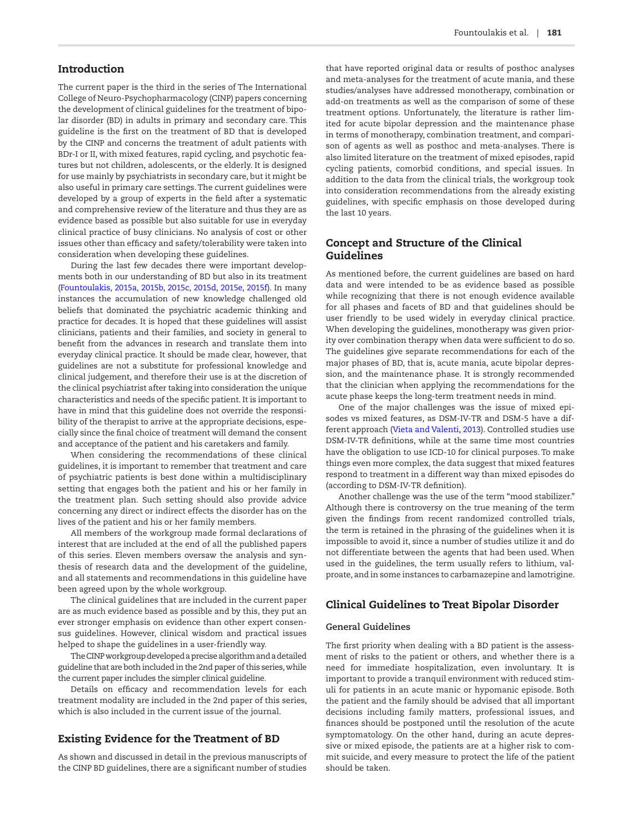## Introduction

The current paper is the third in the series of The International College of Neuro-Psychopharmacology (CINP) papers concerning the development of clinical guidelines for the treatment of bipolar disorder (BD) in adults in primary and secondary care. This guideline is the first on the treatment of BD that is developed by the CINP and concerns the treatment of adult patients with BDr-I or II, with mixed features, rapid cycling, and psychotic features but not children, adolescents, or the elderly. It is designed for use mainly by psychiatrists in secondary care, but it might be also useful in primary care settings. The current guidelines were developed by a group of experts in the field after a systematic and comprehensive review of the literature and thus they are as evidence based as possible but also suitable for use in everyday clinical practice of busy clinicians. No analysis of cost or other issues other than efficacy and safety/tolerability were taken into consideration when developing these guidelines.

During the last few decades there were important developments both in our understanding of BD but also in its treatment ([Fountoulakis, 2015a,](#page-13-0) [2015b,](#page-13-1) [2015c](#page-13-2), [2015d](#page-13-3), [2015e](#page-13-4), [2015f](#page-13-5)). In many instances the accumulation of new knowledge challenged old beliefs that dominated the psychiatric academic thinking and practice for decades. It is hoped that these guidelines will assist clinicians, patients and their families, and society in general to benefit from the advances in research and translate them into everyday clinical practice. It should be made clear, however, that guidelines are not a substitute for professional knowledge and clinical judgement, and therefore their use is at the discretion of the clinical psychiatrist after taking into consideration the unique characteristics and needs of the specific patient. It is important to have in mind that this guideline does not override the responsibility of the therapist to arrive at the appropriate decisions, especially since the final choice of treatment will demand the consent and acceptance of the patient and his caretakers and family.

When considering the recommendations of these clinical guidelines, it is important to remember that treatment and care of psychiatric patients is best done within a multidisciplinary setting that engages both the patient and his or her family in the treatment plan. Such setting should also provide advice concerning any direct or indirect effects the disorder has on the lives of the patient and his or her family members.

All members of the workgroup made formal declarations of interest that are included at the end of all the published papers of this series. Eleven members oversaw the analysis and synthesis of research data and the development of the guideline, and all statements and recommendations in this guideline have been agreed upon by the whole workgroup.

The clinical guidelines that are included in the current paper are as much evidence based as possible and by this, they put an ever stronger emphasis on evidence than other expert consensus guidelines. However, clinical wisdom and practical issues helped to shape the guidelines in a user-friendly way.

The CINP workgroup developed a precise algorithm and a detailed guideline that are both included in the 2nd paper of this series, while the current paper includes the simpler clinical guideline.

Details on efficacy and recommendation levels for each treatment modality are included in the 2nd paper of this series, which is also included in the current issue of the journal.

## Existing Evidence for the Treatment of BD

As shown and discussed in detail in the previous manuscripts of the CINP BD guidelines, there are a significant number of studies

that have reported original data or results of posthoc analyses and meta-analyses for the treatment of acute mania, and these studies/analyses have addressed monotherapy, combination or add-on treatments as well as the comparison of some of these treatment options. Unfortunately, the literature is rather limited for acute bipolar depression and the maintenance phase in terms of monotherapy, combination treatment, and comparison of agents as well as posthoc and meta-analyses. There is also limited literature on the treatment of mixed episodes, rapid cycling patients, comorbid conditions, and special issues. In addition to the data from the clinical trials, the workgroup took into consideration recommendations from the already existing guidelines, with specific emphasis on those developed during the last 10 years.

## Concept and Structure of the Clinical Guidelines

As mentioned before, the current guidelines are based on hard data and were intended to be as evidence based as possible while recognizing that there is not enough evidence available for all phases and facets of BD and that guidelines should be user friendly to be used widely in everyday clinical practice. When developing the guidelines, monotherapy was given priority over combination therapy when data were sufficient to do so. The guidelines give separate recommendations for each of the major phases of BD, that is, acute mania, acute bipolar depression, and the maintenance phase. It is strongly recommended that the clinician when applying the recommendations for the acute phase keeps the long-term treatment needs in mind.

One of the major challenges was the issue of mixed episodes vs mixed features, as DSM-IV-TR and DSM-5 have a different approach ([Vieta and Valenti, 2013](#page-15-0)). Controlled studies use DSM-IV-TR definitions, while at the same time most countries have the obligation to use ICD-10 for clinical purposes. To make things even more complex, the data suggest that mixed features respond to treatment in a different way than mixed episodes do (according to DSM-IV-TR definition).

Another challenge was the use of the term "mood stabilizer." Although there is controversy on the true meaning of the term given the findings from recent randomized controlled trials, the term is retained in the phrasing of the guidelines when it is impossible to avoid it, since a number of studies utilize it and do not differentiate between the agents that had been used. When used in the guidelines, the term usually refers to lithium, valproate, and in some instances to carbamazepine and lamotrigine.

## Clinical Guidelines to Treat Bipolar Disorder

## **General Guidelines**

The first priority when dealing with a BD patient is the assessment of risks to the patient or others, and whether there is a need for immediate hospitalization, even involuntary. It is important to provide a tranquil environment with reduced stimuli for patients in an acute manic or hypomanic episode. Both the patient and the family should be advised that all important decisions including family matters, professional issues, and finances should be postponed until the resolution of the acute symptomatology. On the other hand, during an acute depressive or mixed episode, the patients are at a higher risk to commit suicide, and every measure to protect the life of the patient should be taken.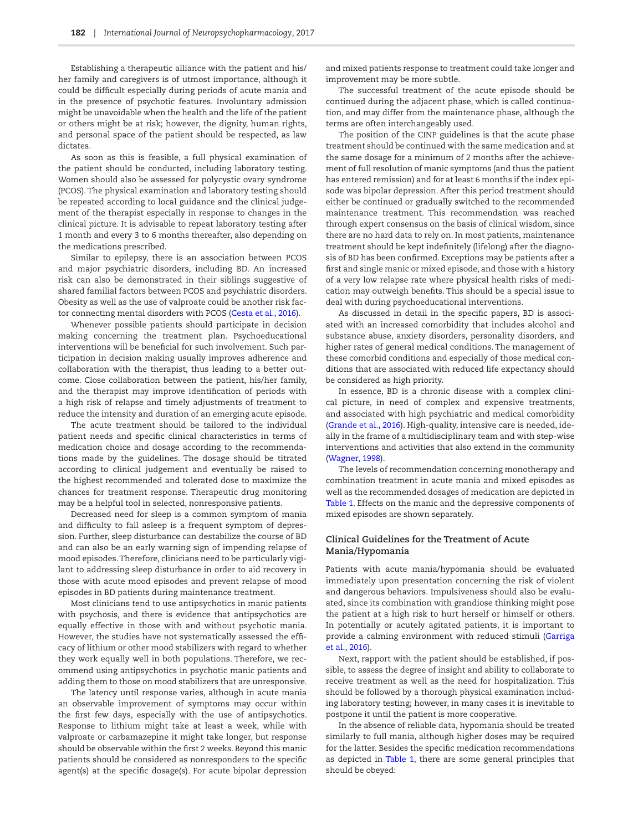Establishing a therapeutic alliance with the patient and his/ her family and caregivers is of utmost importance, although it could be difficult especially during periods of acute mania and in the presence of psychotic features. Involuntary admission might be unavoidable when the health and the life of the patient or others might be at risk; however, the dignity, human rights, and personal space of the patient should be respected, as law dictates.

As soon as this is feasible, a full physical examination of the patient should be conducted, including laboratory testing. Women should also be assessed for polycystic ovary syndrome (PCOS). The physical examination and laboratory testing should be repeated according to local guidance and the clinical judgement of the therapist especially in response to changes in the clinical picture. It is advisable to repeat laboratory testing after 1 month and every 3 to 6 months thereafter, also depending on the medications prescribed.

Similar to epilepsy, there is an association between PCOS and major psychiatric disorders, including BD. An increased risk can also be demonstrated in their siblings suggestive of shared familial factors between PCOS and psychiatric disorders. Obesity as well as the use of valproate could be another risk factor connecting mental disorders with PCOS ([Cesta et al., 2016\)](#page-13-6).

Whenever possible patients should participate in decision making concerning the treatment plan. Psychoeducational interventions will be beneficial for such involvement. Such participation in decision making usually improves adherence and collaboration with the therapist, thus leading to a better outcome. Close collaboration between the patient, his/her family, and the therapist may improve identification of periods with a high risk of relapse and timely adjustments of treatment to reduce the intensity and duration of an emerging acute episode.

The acute treatment should be tailored to the individual patient needs and specific clinical characteristics in terms of medication choice and dosage according to the recommendations made by the guidelines. The dosage should be titrated according to clinical judgement and eventually be raised to the highest recommended and tolerated dose to maximize the chances for treatment response. Therapeutic drug monitoring may be a helpful tool in selected, nonresponsive patients.

Decreased need for sleep is a common symptom of mania and difficulty to fall asleep is a frequent symptom of depression. Further, sleep disturbance can destabilize the course of BD and can also be an early warning sign of impending relapse of mood episodes. Therefore, clinicians need to be particularly vigilant to addressing sleep disturbance in order to aid recovery in those with acute mood episodes and prevent relapse of mood episodes in BD patients during maintenance treatment.

Most clinicians tend to use antipsychotics in manic patients with psychosis, and there is evidence that antipsychotics are equally effective in those with and without psychotic mania. However, the studies have not systematically assessed the efficacy of lithium or other mood stabilizers with regard to whether they work equally well in both populations. Therefore, we recommend using antipsychotics in psychotic manic patients and adding them to those on mood stabilizers that are unresponsive.

The latency until response varies, although in acute mania an observable improvement of symptoms may occur within the first few days, especially with the use of antipsychotics. Response to lithium might take at least a week, while with valproate or carbamazepine it might take longer, but response should be observable within the first 2 weeks. Beyond this manic patients should be considered as nonresponders to the specific agent(s) at the specific dosage(s). For acute bipolar depression

and mixed patients response to treatment could take longer and improvement may be more subtle.

The successful treatment of the acute episode should be continued during the adjacent phase, which is called continuation, and may differ from the maintenance phase, although the terms are often interchangeably used.

The position of the CINP guidelines is that the acute phase treatment should be continued with the same medication and at the same dosage for a minimum of 2 months after the achievement of full resolution of manic symptoms (and thus the patient has entered remission) and for at least 6 months if the index episode was bipolar depression. After this period treatment should either be continued or gradually switched to the recommended maintenance treatment. This recommendation was reached through expert consensus on the basis of clinical wisdom, since there are no hard data to rely on. In most patients, maintenance treatment should be kept indefinitely (lifelong) after the diagnosis of BD has been confirmed. Exceptions may be patients after a first and single manic or mixed episode, and those with a history of a very low relapse rate where physical health risks of medication may outweigh benefits. This should be a special issue to deal with during psychoeducational interventions.

As discussed in detail in the specific papers, BD is associated with an increased comorbidity that includes alcohol and substance abuse, anxiety disorders, personality disorders, and higher rates of general medical conditions. The management of these comorbid conditions and especially of those medical conditions that are associated with reduced life expectancy should be considered as high priority.

In essence, BD is a chronic disease with a complex clinical picture, in need of complex and expensive treatments, and associated with high psychiatric and medical comorbidity ([Grande et al., 2016\)](#page-14-0). High-quality, intensive care is needed, ideally in the frame of a multidisciplinary team and with step-wise interventions and activities that also extend in the community ([Wagner, 1998\)](#page-15-1).

The levels of recommendation concerning monotherapy and combination treatment in acute mania and mixed episodes as well as the recommended dosages of medication are depicted in [Table 1](#page-3-0). Effects on the manic and the depressive components of mixed episodes are shown separately.

## **Clinical Guidelines for the Treatment of Acute Mania/Hypomania**

Patients with acute mania/hypomania should be evaluated immediately upon presentation concerning the risk of violent and dangerous behaviors. Impulsiveness should also be evaluated, since its combination with grandiose thinking might pose the patient at a high risk to hurt herself or himself or others. In potentially or acutely agitated patients, it is important to provide a calming environment with reduced stimuli [\(Garriga](#page-13-7)  [et al., 2016\)](#page-13-7).

Next, rapport with the patient should be established, if possible, to assess the degree of insight and ability to collaborate to receive treatment as well as the need for hospitalization. This should be followed by a thorough physical examination including laboratory testing; however, in many cases it is inevitable to postpone it until the patient is more cooperative.

In the absence of reliable data, hypomania should be treated similarly to full mania, although higher doses may be required for the latter. Besides the specific medication recommendations as depicted in Table 1, there are some general principles that should be obeyed: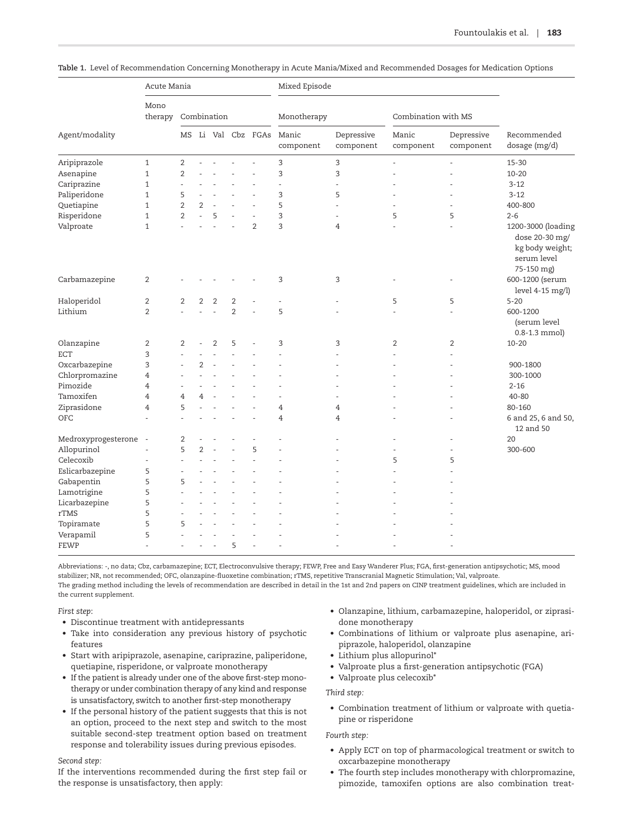|                     | Acute Mania    |                |                |                |                |                    | Mixed Episode      |                         |                     |                         |                                                                                      |  |  |
|---------------------|----------------|----------------|----------------|----------------|----------------|--------------------|--------------------|-------------------------|---------------------|-------------------------|--------------------------------------------------------------------------------------|--|--|
|                     | Mono           |                |                |                |                |                    |                    |                         |                     |                         |                                                                                      |  |  |
|                     | therapy        |                | Combination    |                |                |                    | Monotherapy        |                         | Combination with MS |                         |                                                                                      |  |  |
| Agent/modality      |                |                |                |                |                | MS Li Val Cbz FGAs | Manic<br>component | Depressive<br>component | Manic<br>component  | Depressive<br>component | Recommended<br>dosage (mg/d)                                                         |  |  |
| Aripiprazole        | $\mathbf{1}$   | $\overline{2}$ |                |                |                |                    | 3                  | 3                       |                     |                         | $15 - 30$                                                                            |  |  |
| Asenapine           | $1\,$          | $\overline{2}$ |                |                |                |                    | 3                  | 3                       |                     |                         | $10 - 20$                                                                            |  |  |
| Cariprazine         | $\mathbf{1}$   | $\frac{1}{2}$  |                |                |                | ÷.                 | ÷,                 | $\bar{a}$               |                     |                         | $3 - 12$                                                                             |  |  |
| Paliperidone        | $\mathbf{1}$   | 5              |                |                |                | $\sim$             | 3                  | 5                       |                     |                         | $3 - 12$                                                                             |  |  |
| Quetiapine          | $\mathbf{1}$   | $\overline{2}$ | $\overline{2}$ |                |                | ÷,                 | 5                  | ÷,                      |                     |                         | 400-800                                                                              |  |  |
| Risperidone         | $\mathbf{1}$   | $\overline{2}$ | L.             | 5              | ٠              | $\blacksquare$     | 3                  | ä,                      | 5                   | 5                       | $2 - 6$                                                                              |  |  |
| Valproate           | $\mathbf{1}$   | ä,             |                |                |                | $\overline{2}$     | 3                  | 4                       |                     |                         | 1200-3000 (loading<br>dose 20-30 mg/<br>kg body weight;<br>serum level<br>75-150 mg) |  |  |
| Carbamazepine       | $\overline{2}$ |                |                |                |                |                    | 3                  | 3                       |                     |                         | 600-1200 (serum<br>level 4-15 mg/l)                                                  |  |  |
| Haloperidol         | $\overline{2}$ | 2              | 2              | $\overline{2}$ | $\overline{2}$ |                    | ÷,                 |                         | 5                   | 5                       | $5 - 20$                                                                             |  |  |
| Lithium             | $\overline{2}$ | L              | L.             | ÷,             | $\overline{2}$ | ä,                 | 5                  |                         | ä,                  |                         | 600-1200<br>(serum level<br>0.8-1.3 mmol)                                            |  |  |
| Olanzapine          | $\overline{2}$ | $\overline{2}$ |                | $\overline{2}$ | 5              |                    | 3                  | 3                       | $\overline{2}$      | $\overline{2}$          | $10 - 20$                                                                            |  |  |
| <b>ECT</b>          | 3              | L,             |                | ä,             |                |                    | ÷,                 |                         |                     |                         |                                                                                      |  |  |
| Oxcarbazepine       | 3              | ä,             | $\overline{2}$ | ÷,             |                |                    |                    |                         |                     |                         | 900-1800                                                                             |  |  |
| Chlorpromazine      | $\overline{4}$ | L,             |                |                |                |                    |                    |                         |                     |                         | 300-1000                                                                             |  |  |
| Pimozide            | $\overline{4}$ | ä,             |                |                |                |                    | ä,                 |                         |                     |                         | $2 - 16$                                                                             |  |  |
| Tamoxifen           | $\overline{4}$ | 4              | 4              | ÷,             |                |                    | ÷,                 |                         |                     |                         | 40-80                                                                                |  |  |
| Ziprasidone         | $\overline{4}$ | 5              |                |                |                |                    | $\overline{4}$     | 4                       |                     |                         | 80-160                                                                               |  |  |
| <b>OFC</b>          | ÷,             | ä,             |                |                |                | ÷,                 | $\overline{4}$     | $\overline{4}$          |                     |                         | 6 and 25, 6 and 50,<br>12 and 50                                                     |  |  |
| Medroxyprogesterone | $\sim$         | $\overline{2}$ |                |                |                | ä,                 |                    |                         |                     |                         | 20                                                                                   |  |  |
| Allopurinol         |                | 5              | $\overline{2}$ | ÷,             |                | 5                  | L.                 |                         |                     |                         | 300-600                                                                              |  |  |
| Celecoxib           | ä,             | ä,             |                |                |                | ä,                 |                    |                         | 5                   | 5                       |                                                                                      |  |  |
| Eslicarbazepine     | 5              |                |                |                |                |                    |                    |                         |                     |                         |                                                                                      |  |  |
| Gabapentin          | 5              | 5              |                |                |                |                    |                    |                         |                     |                         |                                                                                      |  |  |
| Lamotrigine         | 5              | ä,             |                |                |                |                    |                    |                         |                     |                         |                                                                                      |  |  |
| Licarbazepine       | 5              |                |                |                |                |                    |                    |                         |                     |                         |                                                                                      |  |  |
| rTMS                | 5              | ä,             |                |                |                |                    |                    |                         |                     |                         |                                                                                      |  |  |
| Topiramate          | 5              | 5              |                |                |                |                    |                    |                         |                     |                         |                                                                                      |  |  |
| Verapamil           | 5              |                |                |                |                |                    |                    |                         |                     |                         |                                                                                      |  |  |
| <b>FEWP</b>         | ä,             |                |                | ä,             | 5              | ä,                 | ä,                 |                         |                     |                         |                                                                                      |  |  |

<span id="page-3-0"></span>

| Table 1. Level of Recommendation Concerning Monotherapy in Acute Mania/Mixed and Recommended Dosages for Medication Options |  |  |  |
|-----------------------------------------------------------------------------------------------------------------------------|--|--|--|
|-----------------------------------------------------------------------------------------------------------------------------|--|--|--|

Abbreviations: -, no data; Cbz, carbamazepine; ECT, Electroconvulsive therapy; FEWP, Free and Easy Wanderer Plus; FGA, first-generation antipsychotic; MS, mood stabilizer; NR, not recommended; OFC, olanzapine-fluoxetine combination; rTMS, repetitive Transcranial Magnetic Stimulation; Val, valproate.

The grading method including the levels of recommendation are described in detail in the 1st and 2nd papers on CINP treatment guidelines, which are included in the current supplement.

*First step*:

- Discontinue treatment with antidepressants
- Take into consideration any previous history of psychotic features
- Start with aripiprazole, asenapine, cariprazine, paliperidone, quetiapine, risperidone, or valproate monotherapy
- If the patient is already under one of the above first-step monotherapy or under combination therapy of any kind and response is unsatisfactory, switch to another first-step monotherapy
- If the personal history of the patient suggests that this is not an option, proceed to the next step and switch to the most suitable second-step treatment option based on treatment response and tolerability issues during previous episodes.

### *Second step:*

If the interventions recommended during the first step fail or the response is unsatisfactory, then apply:

- Olanzapine, lithium, carbamazepine, haloperidol, or ziprasidone monotherapy
- Combinations of lithium or valproate plus asenapine, aripiprazole, haloperidol, olanzapine
- Lithium plus allopurinol\*
- Valproate plus a first-generation antipsychotic (FGA)
- Valproate plus celecoxib\*

*Third step:*

• Combination treatment of lithium or valproate with quetiapine or risperidone

#### *Fourth step:*

- Apply ECT on top of pharmacological treatment or switch to oxcarbazepine monotherapy
- The fourth step includes monotherapy with chlorpromazine, pimozide, tamoxifen options are also combination treat-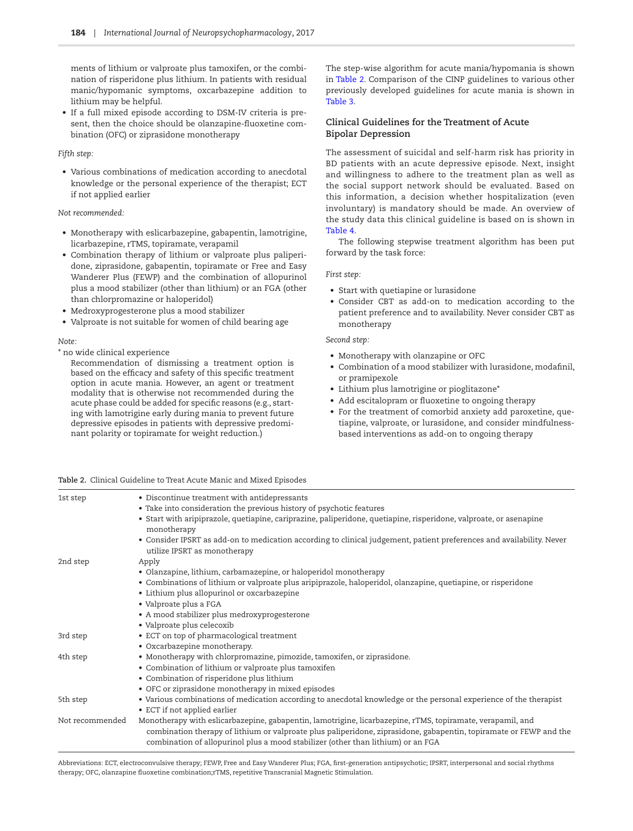ments of lithium or valproate plus tamoxifen, or the combination of risperidone plus lithium. In patients with residual manic/hypomanic symptoms, oxcarbazepine addition to lithium may be helpful.

• If a full mixed episode according to DSM-IV criteria is present, then the choice should be olanzapine-fluoxetine combination (OFC) or ziprasidone monotherapy

#### *Fifth step:*

• Various combinations of medication according to anecdotal knowledge or the personal experience of the therapist; ECT if not applied earlier

#### *Not recommended:*

- Monotherapy with eslicarbazepine, gabapentin, lamotrigine, licarbazepine, rTMS, topiramate, verapamil
- Combination therapy of lithium or valproate plus paliperidone, ziprasidone, gabapentin, topiramate or Free and Easy Wanderer Plus (FEWP) and the combination of allopurinol plus a mood stabilizer (other than lithium) or an FGA (other than chlorpromazine or haloperidol)
- Medroxyprogesterone plus a mood stabilizer
- Valproate is not suitable for women of child bearing age

#### *Note:*

- \* no wide clinical experience
	- Recommendation of dismissing a treatment option is based on the efficacy and safety of this specific treatment option in acute mania. However, an agent or treatment modality that is otherwise not recommended during the acute phase could be added for specific reasons (e.g., starting with lamotrigine early during mania to prevent future depressive episodes in patients with depressive predominant polarity or topiramate for weight reduction.)

The step-wise algorithm for acute mania/hypomania is shown in [Table 2](#page-4-0). Comparison of the CINP guidelines to various other previously developed guidelines for acute mania is shown in [Table 3.](#page-5-0)

## **Clinical Guidelines for the Treatment of Acute Bipolar Depression**

The assessment of suicidal and self-harm risk has priority in BD patients with an acute depressive episode. Next, insight and willingness to adhere to the treatment plan as well as the social support network should be evaluated. Based on this information, a decision whether hospitalization (even involuntary) is mandatory should be made. An overview of the study data this clinical guideline is based on is shown in [Table 4](#page-6-0).

The following stepwise treatment algorithm has been put forward by the task force:

#### *First step:*

- Start with quetiapine or lurasidone
- Consider CBT as add-on to medication according to the patient preference and to availability. Never consider CBT as monotherapy

#### *Second step:*

- Monotherapy with olanzapine or OFC
- Combination of a mood stabilizer with lurasidone, modafinil, or pramipexole
- Lithium plus lamotrigine or pioglitazone\*
- Add escitalopram or fluoxetine to ongoing therapy
- For the treatment of comorbid anxiety add paroxetine, quetiapine, valproate, or lurasidone, and consider mindfulnessbased interventions as add-on to ongoing therapy

#### <span id="page-4-0"></span>**Table 2.** Clinical Guideline to Treat Acute Manic and Mixed Episodes

| 1st step        | • Discontinue treatment with antidepressants                                                                                                                                                           |
|-----------------|--------------------------------------------------------------------------------------------------------------------------------------------------------------------------------------------------------|
|                 | • Take into consideration the previous history of psychotic features                                                                                                                                   |
|                 | • Start with aripiprazole, quetiapine, cariprazine, paliperidone, quetiapine, risperidone, valproate, or asenapine<br>monotherapy                                                                      |
|                 | • Consider IPSRT as add-on to medication according to clinical judgement, patient preferences and availability. Never<br>utilize IPSRT as monotherapy                                                  |
| 2nd step        | Apply                                                                                                                                                                                                  |
|                 | • Olanzapine, lithium, carbamazepine, or haloperidol monotherapy                                                                                                                                       |
|                 | • Combinations of lithium or valproate plus aripiprazole, haloperidol, olanzapine, quetiapine, or risperidone                                                                                          |
|                 | • Lithium plus allopurinol or oxcarbazepine                                                                                                                                                            |
|                 | • Valproate plus a FGA                                                                                                                                                                                 |
|                 | • A mood stabilizer plus medroxyprogesterone                                                                                                                                                           |
|                 | • Valproate plus celecoxib                                                                                                                                                                             |
| 3rd step        | • ECT on top of pharmacological treatment                                                                                                                                                              |
|                 | • Oxcarbazepine monotherapy.                                                                                                                                                                           |
| 4th step        | • Monotherapy with chlorpromazine, pimozide, tamoxifen, or ziprasidone.                                                                                                                                |
|                 | • Combination of lithium or valproate plus tamoxifen                                                                                                                                                   |
|                 | • Combination of risperidone plus lithium                                                                                                                                                              |
|                 | • OFC or ziprasidone monotherapy in mixed episodes                                                                                                                                                     |
| 5th step        | • Various combinations of medication according to anecdotal knowledge or the personal experience of the therapist                                                                                      |
|                 | • ECT if not applied earlier                                                                                                                                                                           |
| Not recommended | Monotherapy with eslicarbazepine, gabapentin, lamotrigine, licarbazepine, rTMS, topiramate, verapamil, and                                                                                             |
|                 | combination therapy of lithium or valproate plus paliperidone, ziprasidone, gabapentin, topiramate or FEWP and the<br>combination of allopurinol plus a mood stabilizer (other than lithium) or an FGA |

Abbreviations: ECT, electroconvulsive therapy; FEWP, Free and Easy Wanderer Plus; FGA, first-generation antipsychotic; IPSRT, interpersonal and social rhythms therapy; OFC, olanzapine fluoxetine combination;rTMS, repetitive Transcranial Magnetic Stimulation.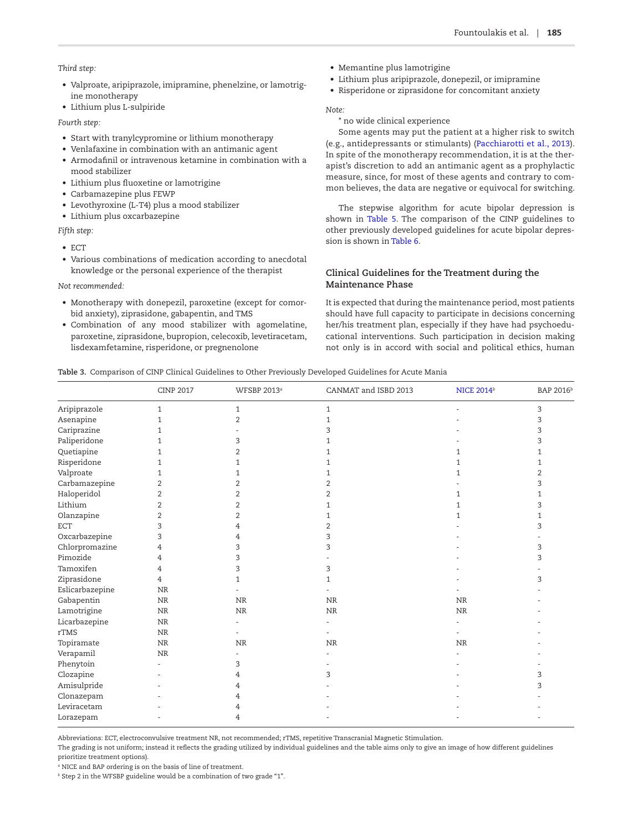*Third step:*

- Valproate, aripiprazole, imipramine, phenelzine, or lamotrigine monotherapy
- Lithium plus L-sulpiride

*Fourth step:*

- Start with tranylcypromine or lithium monotherapy
- Venlafaxine in combination with an antimanic agent
- Armodafinil or intravenous ketamine in combination with a mood stabilizer
- Lithium plus fluoxetine or lamotrigine
- Carbamazepine plus FEWP
- Levothyroxine (L-T4) plus a mood stabilizer
- Lithium plus oxcarbazepine

*Fifth step:*

- ECT
- Various combinations of medication according to anecdotal knowledge or the personal experience of the therapist

*Not recommended:*

- Monotherapy with donepezil, paroxetine (except for comorbid anxiety), ziprasidone, gabapentin, and TMS
- Combination of any mood stabilizer with agomelatine, paroxetine, ziprasidone, bupropion, celecoxib, levetiracetam, lisdexamfetamine, risperidone, or pregnenolone
- Memantine plus lamotrigine
- Lithium plus aripiprazole, donepezil, or imipramine
- Risperidone or ziprasidone for concomitant anxiety

*Note:*

#### \* no wide clinical experience

Some agents may put the patient at a higher risk to switch (e.g., antidepressants or stimulants) [\(Pacchiarotti et al., 2013](#page-15-2)). In spite of the monotherapy recommendation, it is at the therapist's discretion to add an antimanic agent as a prophylactic measure, since, for most of these agents and contrary to common believes, the data are negative or equivocal for switching.

The stepwise algorithm for acute bipolar depression is shown in [Table 5.](#page-7-0) The comparison of the CINP guidelines to other previously developed guidelines for acute bipolar depression is shown in [Table 6.](#page-7-1)

## **Clinical Guidelines for the Treatment during the Maintenance Phase**

It is expected that during the maintenance period, most patients should have full capacity to participate in decisions concerning her/his treatment plan, especially if they have had psychoeducational interventions. Such participation in decision making not only is in accord with social and political ethics, human

#### <span id="page-5-0"></span>**Table 3.** Comparison of CINP Clinical Guidelines to Other Previously Developed Guidelines for Acute Mania

|                 | <b>CINP 2017</b> | WFSBP 2013 <sup>a</sup> | CANMAT and ISBD 2013 | <b>NICE 2014</b> <sup>b</sup> | BAP 2016 <sup>b</sup> |
|-----------------|------------------|-------------------------|----------------------|-------------------------------|-----------------------|
| Aripiprazole    | 1                | 1                       | $\mathbf{1}$         |                               | 3                     |
| Asenapine       | $\mathbf{1}$     | $\overline{2}$          | $\mathbf{1}$         |                               | 3                     |
| Cariprazine     | 1                |                         | 3                    |                               | 3                     |
| Paliperidone    | $\mathbf{1}$     | 3                       | 1                    |                               | 3                     |
| Quetiapine      | 1                | $\overline{2}$          | 1                    | 1                             | 1                     |
| Risperidone     | 1                | $\mathbf{1}$            | 1                    | 1                             | 1                     |
| Valproate       | $\mathbf{1}$     | $\mathbf{1}$            | $\mathbf{1}$         | 1                             | $\overline{2}$        |
| Carbamazepine   | 2                | $\overline{2}$          | 2                    |                               | 3                     |
| Haloperidol     | $\overline{2}$   | $\overline{2}$          | $\overline{2}$       | 1                             | 1                     |
| Lithium         | 2                | $\overline{2}$          | 1                    | 1                             | 3                     |
| Olanzapine      | $\overline{2}$   | $\overline{2}$          | $\mathbf{1}$         | 1                             | 1                     |
| <b>ECT</b>      | 3                | 4                       | 2                    |                               | 3                     |
| Oxcarbazepine   | 3                | 4                       | 3                    |                               |                       |
| Chlorpromazine  | 4                | 3                       | 3                    |                               | 3                     |
| Pimozide        | 4                | 3                       |                      |                               | 3                     |
| Tamoxifen       | 4                | 3                       | 3                    |                               |                       |
| Ziprasidone     | 4                | $\mathbf{1}$            | $\mathbf{1}$         |                               | 3                     |
| Eslicarbazepine | <b>NR</b>        |                         |                      |                               |                       |
| Gabapentin      | <b>NR</b>        | <b>NR</b>               | <b>NR</b>            | $\rm NR$                      |                       |
| Lamotrigine     | <b>NR</b>        | <b>NR</b>               | <b>NR</b>            | <b>NR</b>                     |                       |
| Licarbazepine   | <b>NR</b>        |                         |                      |                               |                       |
| $rT\rm{MS}$     | <b>NR</b>        |                         |                      |                               |                       |
| Topiramate      | <b>NR</b>        | <b>NR</b>               | <b>NR</b>            | <b>NR</b>                     |                       |
| Verapamil       | <b>NR</b>        |                         |                      |                               |                       |
| Phenytoin       |                  | 3                       |                      |                               |                       |
| Clozapine       |                  | 4                       | 3                    |                               | 3                     |
| Amisulpride     |                  | 4                       |                      |                               | 3                     |
| Clonazepam      |                  | 4                       |                      |                               |                       |
| Leviracetam     |                  | 4                       |                      |                               |                       |
| Lorazepam       |                  | 4                       |                      |                               |                       |

Abbreviations: ECT, electroconvulsive treatment NR, not recommended; rTMS, repetitive Transcranial Magnetic Stimulation.

The grading is not uniform; instead it reflects the grading utilized by individual guidelines and the table aims only to give an image of how different guidelines prioritize treatment options).

*a* NICE and BAP ordering is on the basis of line of treatment.

*b* Step 2 in the WFSBP guideline would be a combination of two grade "1".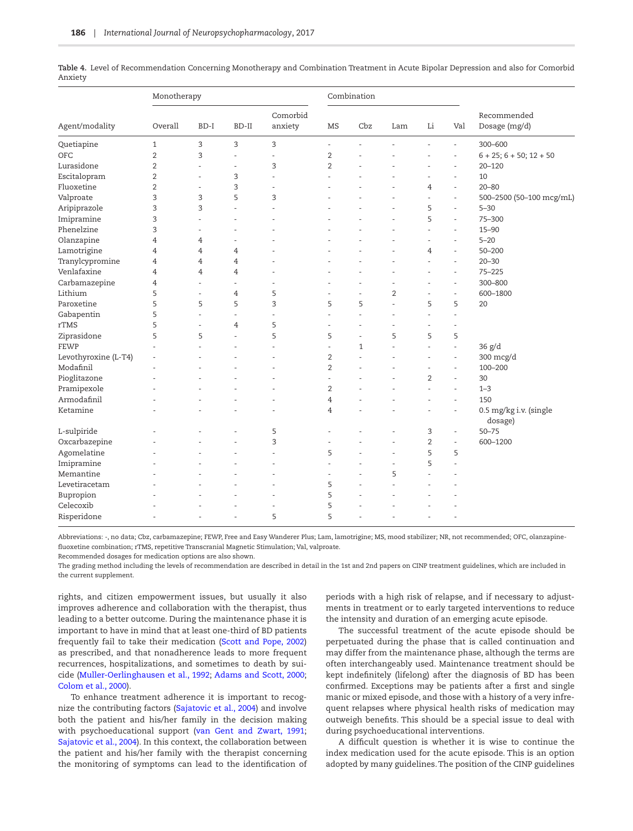|                      | Monotherapy    |                |                |                          |                | Combination  |                          |                |                          |                                   |  |
|----------------------|----------------|----------------|----------------|--------------------------|----------------|--------------|--------------------------|----------------|--------------------------|-----------------------------------|--|
| Agent/modality       | Overall        | $BD-I$         | $BD-II$        | Comorbid<br>anxiety      | MS             | Cbz          | Lam                      | Li             | Val                      | Recommended<br>Dosage (mg/d)      |  |
| Quetiapine           | $\mathbf{1}$   | 3              | 3              | 3                        | ä,             | ÷,           | ä,                       | ÷,             | ÷,                       | 300-600                           |  |
| <b>OFC</b>           | $\overline{2}$ | 3              | ä,             | ÷,                       | $\overline{2}$ |              |                          |                | ÷.                       | $6 + 25$ ; $6 + 50$ ; $12 + 50$   |  |
| Lurasidone           | $\overline{2}$ | ÷.             | ÷.             | 3                        | $\overline{2}$ | ÷            |                          | ÷              | $\overline{\phantom{a}}$ | $20 - 120$                        |  |
| Escitalopram         | $\overline{2}$ | ä,             | 3              | ÷,                       | ä,             | L.           |                          | ÷,             | $\overline{\phantom{a}}$ | 10                                |  |
| Fluoxetine           | $\overline{2}$ | ÷,             | 3              | ÷,                       |                |              | ä,                       | 4              | ä,                       | $20 - 80$                         |  |
| Valproate            | 3              | 3              | 5              | 3                        |                |              | ä,                       | ÷,             | ÷.                       | 500-2500 (50-100 mcg/mL)          |  |
| Aripiprazole         | 3              | 3              | L.             | L.                       |                |              | L.                       | 5              | ä,                       | $5 - 30$                          |  |
| Imipramine           | 3              |                | ÷,             | ÷,                       |                |              | ÷,                       | 5              | $\overline{\phantom{a}}$ | 75-300                            |  |
| Phenelzine           | 3              | $\overline{a}$ | ÷,             | ÷                        |                |              | ÷,                       | ÷,             | $\blacksquare$           | $15 - 90$                         |  |
| Olanzapine           | $\overline{4}$ | $\overline{4}$ | ä,             | ä,                       |                | Ē,           | ä,                       | ÷,             | $\overline{\phantom{a}}$ | $5 - 20$                          |  |
| Lamotrigine          | 4              | 4              | 4              |                          |                |              | ä,                       | $\overline{4}$ | $\bar{a}$                | $50 - 200$                        |  |
| Tranylcypromine      | 4              | $\overline{4}$ | 4              | ä,                       |                |              | ä,                       | ä,             | $\overline{\phantom{a}}$ | $20 - 30$                         |  |
| Venlafaxine          | 4              | 4              | 4              | ä,                       | ä,             | ÷,           | ä,                       | ÷.             | $\overline{\phantom{a}}$ | $75 - 225$                        |  |
| Carbamazepine        | 4              | ä,             | ä,             | $\overline{\phantom{a}}$ | ä,             | ä,           | ÷,                       | ÷,             | $\blacksquare$           | 300-800                           |  |
| Lithium              | 5              | ÷,             | $\overline{4}$ | 5                        | ä,             | ÷,           | $\overline{2}$           | ÷,             | $\bar{a}$                | 600-1800                          |  |
| Paroxetine           | 5              | 5              | 5              | 3                        | 5              | 5            | ä,                       | 5              | 5                        | 20                                |  |
| Gabapentin           | 5              | $\overline{a}$ | ä,             | L.                       | ä,             | ÷,           | $\overline{a}$           | L.             | $\sim$                   |                                   |  |
| rTMS                 | 5              | $\overline{a}$ | 4              | 5                        | ä,             | ÷,           | $\overline{a}$           | ÷.             | ÷.                       |                                   |  |
| Ziprasidone          | 5              | 5              | ä,             | 5                        | 5              | ÷,           | 5                        | 5              | 5                        |                                   |  |
| FEWP                 | ä,             |                | ä,             | ä,                       | ÷,             | $\mathbf{1}$ | ÷,                       | ÷,             | ÷,                       | $36$ g/d                          |  |
| Levothyroxine (L-T4) | ä,             |                |                | ÷,                       | $\overline{2}$ | ä,           | ä,                       | $\sim$         | $\overline{\phantom{a}}$ | 300 mcg/d                         |  |
| Modafinil            |                |                |                | ä,                       | $\overline{2}$ | ÷,           | ä,                       | ÷,             | $\overline{\phantom{a}}$ | $100 - 200$                       |  |
| Pioglitazone         |                |                |                | ä,                       | ä,             | ÷.           | ä,                       | $\overline{2}$ | $\overline{\phantom{a}}$ | 30                                |  |
| Pramipexole          |                |                |                | ä,                       | $\overline{2}$ | ä,           | ä,                       | ÷,             | $\bar{a}$                | $1 - 3$                           |  |
| Armodafinil          |                | ÷.             |                | ä,                       | $\overline{4}$ | ä,           | ä,                       | ÷.             | $\bar{a}$                | 150                               |  |
| Ketamine             |                |                |                |                          | 4              |              |                          |                |                          | 0.5 mg/kg i.v. (single<br>dosage) |  |
| L-sulpiride          |                |                |                | 5                        | ٠              |              | $\overline{a}$           | 3              | $\sim$                   | $50 - 75$                         |  |
| Oxcarbazepine        |                |                | ÷,             | 3                        | ÷,             | ä,           | $\overline{a}$           | $\overline{2}$ | $\blacksquare$           | 600-1200                          |  |
| Agomelatine          |                |                | ÷,             | ÷,                       | 5              | ä,           | $\overline{\phantom{a}}$ | 5              | 5                        |                                   |  |
| Imipramine           |                |                |                |                          | ä,             |              | ÷,                       | 5              | ä,                       |                                   |  |
| Memantine            |                |                |                | L,                       | ÷,             | ä,           | 5                        | ÷,             | ÷,                       |                                   |  |
| Levetiracetam        |                |                | ä,             | $\sim$                   | 5              | ä,           | ä,                       | $\sim$         |                          |                                   |  |
| Bupropion            |                |                | ÷,             | $\sim$                   | 5              | ÷.           | $\overline{a}$           |                |                          |                                   |  |
| Celecoxib            |                |                | ÷,             | ÷,                       | 5              | J.           | L                        |                |                          |                                   |  |
| Risperidone          |                |                |                | 5                        | 5              |              |                          |                |                          |                                   |  |
|                      |                |                |                |                          |                |              |                          |                |                          |                                   |  |

<span id="page-6-0"></span>**Table 4.** Level of Recommendation Concerning Monotherapy and Combination Treatment in Acute Bipolar Depression and also for Comorbid Anxiety

Abbreviations: -, no data; Cbz, carbamazepine; FEWP, Free and Easy Wanderer Plus; Lam, lamotrigine; MS, mood stabilizer; NR, not recommended; OFC, olanzapinefluoxetine combination; rTMS, repetitive Transcranial Magnetic Stimulation; Val, valproate.

Recommended dosages for medication options are also shown.

The grading method including the levels of recommendation are described in detail in the 1st and 2nd papers on CINP treatment guidelines, which are included in the current supplement.

rights, and citizen empowerment issues, but usually it also improves adherence and collaboration with the therapist, thus leading to a better outcome. During the maintenance phase it is important to have in mind that at least one-third of BD patients frequently fail to take their medication [\(Scott and Pope, 2002](#page-15-3)) as prescribed, and that nonadherence leads to more frequent recurrences, hospitalizations, and sometimes to death by suicide ([Muller-Oerlinghausen et al., 1992](#page-14-2); [Adams and Scott, 2000;](#page-12-0) [Colom et al., 2000](#page-13-8)).

To enhance treatment adherence it is important to recognize the contributing factors ([Sajatovic et al., 2004\)](#page-15-4) and involve both the patient and his/her family in the decision making with psychoeducational support [\(van Gent and Zwart, 1991;](#page-15-5) [Sajatovic et al., 2004\)](#page-15-4). In this context, the collaboration between the patient and his/her family with the therapist concerning the monitoring of symptoms can lead to the identification of

periods with a high risk of relapse, and if necessary to adjustments in treatment or to early targeted interventions to reduce the intensity and duration of an emerging acute episode.

The successful treatment of the acute episode should be perpetuated during the phase that is called continuation and may differ from the maintenance phase, although the terms are often interchangeably used. Maintenance treatment should be kept indefinitely (lifelong) after the diagnosis of BD has been confirmed. Exceptions may be patients after a first and single manic or mixed episode, and those with a history of a very infrequent relapses where physical health risks of medication may outweigh benefits. This should be a special issue to deal with during psychoeducational interventions.

A difficult question is whether it is wise to continue the index medication used for the acute episode. This is an option adopted by many guidelines. The position of the CINP guidelines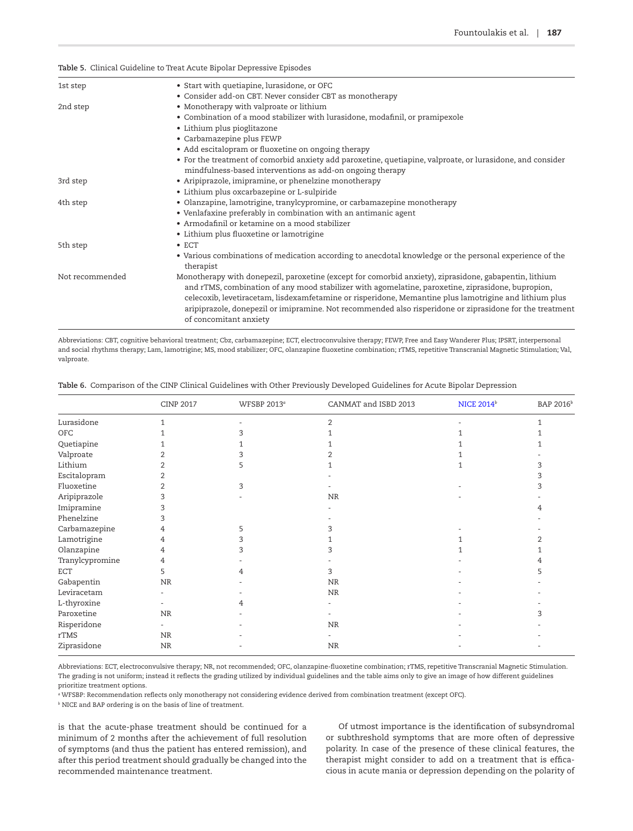<span id="page-7-0"></span>

|  |  | <b>Table 5.</b> Clinical Guideline to Treat Acute Bipolar Depressive Episodes |  |  |  |  |  |  |  |  |
|--|--|-------------------------------------------------------------------------------|--|--|--|--|--|--|--|--|
|--|--|-------------------------------------------------------------------------------|--|--|--|--|--|--|--|--|

| 1st step        | • Start with quetiapine, lurasidone, or OFC                                                                                                                                                                                                                                                                                                                                                                                                                  |  |  |  |  |  |  |  |
|-----------------|--------------------------------------------------------------------------------------------------------------------------------------------------------------------------------------------------------------------------------------------------------------------------------------------------------------------------------------------------------------------------------------------------------------------------------------------------------------|--|--|--|--|--|--|--|
|                 | • Consider add-on CBT. Never consider CBT as monotherapy                                                                                                                                                                                                                                                                                                                                                                                                     |  |  |  |  |  |  |  |
| 2nd step        | • Monotherapy with valproate or lithium                                                                                                                                                                                                                                                                                                                                                                                                                      |  |  |  |  |  |  |  |
|                 | • Combination of a mood stabilizer with lurasidone, modafinil, or pramipexole                                                                                                                                                                                                                                                                                                                                                                                |  |  |  |  |  |  |  |
|                 | • Lithium plus pioglitazone                                                                                                                                                                                                                                                                                                                                                                                                                                  |  |  |  |  |  |  |  |
|                 | • Carbamazepine plus FEWP                                                                                                                                                                                                                                                                                                                                                                                                                                    |  |  |  |  |  |  |  |
|                 | • Add escitalopram or fluoxetine on ongoing therapy                                                                                                                                                                                                                                                                                                                                                                                                          |  |  |  |  |  |  |  |
|                 | • For the treatment of comorbid anxiety add paroxetine, quetiapine, valproate, or lurasidone, and consider                                                                                                                                                                                                                                                                                                                                                   |  |  |  |  |  |  |  |
|                 | mindfulness-based interventions as add-on ongoing therapy                                                                                                                                                                                                                                                                                                                                                                                                    |  |  |  |  |  |  |  |
| 3rd step        | • Aripiprazole, imipramine, or phenelzine monotherapy                                                                                                                                                                                                                                                                                                                                                                                                        |  |  |  |  |  |  |  |
|                 | • Lithium plus oxcarbazepine or L-sulpiride                                                                                                                                                                                                                                                                                                                                                                                                                  |  |  |  |  |  |  |  |
| 4th step        | • Olanzapine, lamotrigine, tranylcypromine, or carbamazepine monotherapy                                                                                                                                                                                                                                                                                                                                                                                     |  |  |  |  |  |  |  |
|                 | • Venlafaxine preferably in combination with an antimanic agent                                                                                                                                                                                                                                                                                                                                                                                              |  |  |  |  |  |  |  |
|                 | • Armodafinil or ketamine on a mood stabilizer                                                                                                                                                                                                                                                                                                                                                                                                               |  |  |  |  |  |  |  |
|                 | • Lithium plus fluoxetine or lamotrigine                                                                                                                                                                                                                                                                                                                                                                                                                     |  |  |  |  |  |  |  |
| 5th step        | $\bullet$ ECT                                                                                                                                                                                                                                                                                                                                                                                                                                                |  |  |  |  |  |  |  |
|                 | • Various combinations of medication according to anecdotal knowledge or the personal experience of the<br>therapist                                                                                                                                                                                                                                                                                                                                         |  |  |  |  |  |  |  |
| Not recommended | Monotherapy with donepezil, paroxetine (except for comorbid anxiety), ziprasidone, gabapentin, lithium<br>and rTMS, combination of any mood stabilizer with agomelatine, paroxetine, ziprasidone, bupropion,<br>celecoxib, levetiracetam, lisdexamfetamine or risperidone, Memantine plus lamotrigine and lithium plus<br>aripiprazole, donepezil or imipramine. Not recommended also risperidone or ziprasidone for the treatment<br>of concomitant anxiety |  |  |  |  |  |  |  |
|                 |                                                                                                                                                                                                                                                                                                                                                                                                                                                              |  |  |  |  |  |  |  |

Abbreviations: CBT, cognitive behavioral treatment; Cbz, carbamazepine; ECT, electroconvulsive therapy; FEWP, Free and Easy Wanderer Plus; IPSRT, interpersonal and social rhythms therapy; Lam, lamotrigine; MS, mood stabilizer; OFC, olanzapine fluoxetine combination; rTMS, repetitive Transcranial Magnetic Stimulation; Val, valproate.

<span id="page-7-1"></span>

|  | <b>Table 6.</b> Comparison of the CINP Clinical Guidelines with Other Previously Developed Guidelines for Acute Bipolar Depression |  |  |  |  |  |  |  |  |  |  |  |  |  |  |
|--|------------------------------------------------------------------------------------------------------------------------------------|--|--|--|--|--|--|--|--|--|--|--|--|--|--|
|--|------------------------------------------------------------------------------------------------------------------------------------|--|--|--|--|--|--|--|--|--|--|--|--|--|--|

|                 | <b>CINP 2017</b> | WFSBP 2013 <sup>a</sup> | CANMAT and ISBD 2013 | <b>NICE 2014</b> b | BAP 2016 <sup>b</sup> |
|-----------------|------------------|-------------------------|----------------------|--------------------|-----------------------|
| Lurasidone      |                  |                         | 2                    |                    |                       |
| OFC             |                  |                         |                      |                    |                       |
| Quetiapine      |                  |                         |                      |                    |                       |
| Valproate       |                  |                         |                      |                    |                       |
| Lithium         |                  | 5                       |                      |                    |                       |
| Escitalopram    |                  |                         |                      |                    |                       |
| Fluoxetine      |                  | 3                       |                      |                    |                       |
| Aripiprazole    |                  |                         | NR                   |                    |                       |
| Imipramine      |                  |                         |                      |                    |                       |
| Phenelzine      |                  |                         |                      |                    |                       |
| Carbamazepine   |                  |                         |                      |                    |                       |
| Lamotrigine     |                  |                         |                      |                    |                       |
| Olanzapine      |                  |                         |                      |                    |                       |
| Tranylcypromine |                  |                         |                      |                    |                       |
| ECT             | 5                |                         | 3                    |                    |                       |
| Gabapentin      | $\rm NR$         |                         | NR                   |                    |                       |
| Leviracetam     |                  |                         | <b>NR</b>            |                    |                       |
| L-thyroxine     |                  |                         |                      |                    |                       |
| Paroxetine      | NR               |                         |                      |                    | 3                     |
| Risperidone     | ۰                |                         | <b>NR</b>            |                    |                       |
| rTMS            | $\rm NR$         |                         |                      |                    |                       |
| Ziprasidone     | $\rm NR$         |                         | NR                   |                    |                       |

Abbreviations: ECT, electroconvulsive therapy; NR, not recommended; OFC, olanzapine-fluoxetine combination; rTMS, repetitive Transcranial Magnetic Stimulation. The grading is not uniform; instead it reflects the grading utilized by individual guidelines and the table aims only to give an image of how different guidelines prioritize treatment options.

*a* WFSBP: Recommendation reflects only monotherapy not considering evidence derived from combination treatment (except OFC).

*b* NICE and BAP ordering is on the basis of line of treatment.

is that the acute-phase treatment should be continued for a minimum of 2 months after the achievement of full resolution of symptoms (and thus the patient has entered remission), and after this period treatment should gradually be changed into the recommended maintenance treatment.

Of utmost importance is the identification of subsyndromal or subthreshold symptoms that are more often of depressive polarity. In case of the presence of these clinical features, the therapist might consider to add on a treatment that is efficacious in acute mania or depression depending on the polarity of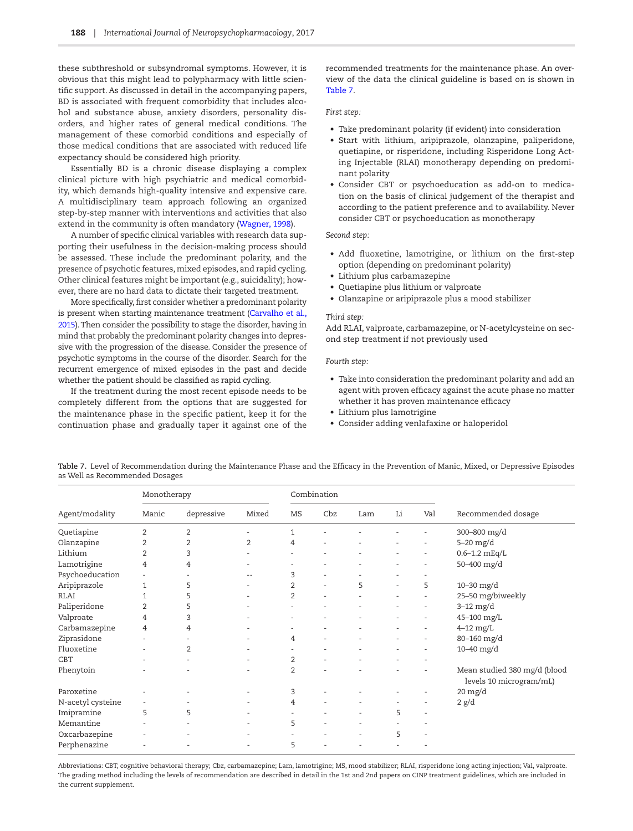these subthreshold or subsyndromal symptoms. However, it is obvious that this might lead to polypharmacy with little scientific support. As discussed in detail in the accompanying papers, BD is associated with frequent comorbidity that includes alcohol and substance abuse, anxiety disorders, personality disorders, and higher rates of general medical conditions. The management of these comorbid conditions and especially of those medical conditions that are associated with reduced life expectancy should be considered high priority.

Essentially BD is a chronic disease displaying a complex clinical picture with high psychiatric and medical comorbidity, which demands high-quality intensive and expensive care. A multidisciplinary team approach following an organized step-by-step manner with interventions and activities that also extend in the community is often mandatory [\(Wagner, 1998\)](#page-15-1).

A number of specific clinical variables with research data supporting their usefulness in the decision-making process should be assessed. These include the predominant polarity, and the presence of psychotic features, mixed episodes, and rapid cycling. Other clinical features might be important (e.g., suicidality); however, there are no hard data to dictate their targeted treatment.

More specifically, first consider whether a predominant polarity is present when starting maintenance treatment (Carvalho et al., [2015\)](#page-13-9). Then consider the possibility to stage the disorder, having in mind that probably the predominant polarity changes into depressive with the progression of the disease. Consider the presence of psychotic symptoms in the course of the disorder. Search for the recurrent emergence of mixed episodes in the past and decide whether the patient should be classified as rapid cycling.

If the treatment during the most recent episode needs to be completely different from the options that are suggested for the maintenance phase in the specific patient, keep it for the continuation phase and gradually taper it against one of the recommended treatments for the maintenance phase. An overview of the data the clinical guideline is based on is shown in [Table 7](#page-8-0).

*First step:*

- Take predominant polarity (if evident) into consideration
- Start with lithium, aripiprazole, olanzapine, paliperidone, quetiapine, or risperidone, including Risperidone Long Acting Injectable (RLAI) monotherapy depending on predominant polarity
- Consider CBT or psychoeducation as add-on to medication on the basis of clinical judgement of the therapist and according to the patient preference and to availability. Never consider CBT or psychoeducation as monotherapy

#### *Second step:*

- Add fluoxetine, lamotrigine, or lithium on the first-step option (depending on predominant polarity)
- Lithium plus carbamazepine
- Quetiapine plus lithium or valproate
- Olanzapine or aripiprazole plus a mood stabilizer

#### *Third step:*

Add RLAI, valproate, carbamazepine, or N-acetylcysteine on second step treatment if not previously used

#### *Fourth step:*

- Take into consideration the predominant polarity and add an agent with proven efficacy against the acute phase no matter whether it has proven maintenance efficacy
- Lithium plus lamotrigine
- Consider adding venlafaxine or haloperidol

<span id="page-8-0"></span>**Table 7.** Level of Recommendation during the Maintenance Phase and the Efficacy in the Prevention of Manic, Mixed, or Depressive Episodes as Well as Recommended Dosages

|                   | Monotherapy    |                |       |                | Combination |     |                          |     |                                                         |
|-------------------|----------------|----------------|-------|----------------|-------------|-----|--------------------------|-----|---------------------------------------------------------|
| Agent/modality    | Manic          | depressive     | Mixed | MS             | Cbz         | Lam | Li                       | Val | Recommended dosage                                      |
| Quetiapine        | $\overline{2}$ | $\overline{2}$ |       | 1              |             |     |                          |     | 300-800 mg/d                                            |
| Olanzapine        | 2              | 2              | 2     | 4              |             |     |                          | ۰   | 5-20 mg/d                                               |
| Lithium           | 2              | 3              |       |                |             |     |                          | -   | $0.6 - 1.2$ mEq/L                                       |
| Lamotrigine       | 4              | 4              |       |                |             |     | ٠                        | ۰   | 50-400 mg/d                                             |
| Psychoeducation   |                |                | --    | 3              | ۰           |     | ٠                        |     |                                                         |
| Aripiprazole      |                | 5              |       | $\overline{2}$ | ٠           | 5   | $\overline{\phantom{a}}$ | 5   | $10 - 30$ mg/d                                          |
| <b>RLAI</b>       |                | 5              |       | $\overline{2}$ |             |     | ٠                        | ٠   | 25-50 mg/biweekly                                       |
| Paliperidone      | $\overline{2}$ | 5              |       |                |             |     | $\overline{\phantom{a}}$ | ٠   | 3-12 mg/d                                               |
| Valproate         | 4              | 3              |       | ٠              |             |     | ۰                        | ٠   | 45-100 mg/L                                             |
| Carbamazepine     | 4              | 4              |       | ٠              |             |     | ۰                        | ٠   | $4-12$ mg/L                                             |
| Ziprasidone       |                |                |       | 4              |             |     |                          | ٠   | 80-160 mg/d                                             |
| Fluoxetine        |                | 2              |       |                |             |     | ٠                        | ٠   | 10-40 mg/d                                              |
| <b>CBT</b>        |                |                |       | $\overline{2}$ |             |     |                          | ٠   |                                                         |
| Phenytoin         |                |                |       | $\overline{2}$ |             |     |                          |     | Mean studied 380 mg/d (blood<br>levels 10 microgram/mL) |
| Paroxetine        |                |                |       | 3              |             |     |                          |     | $20 \frac{\text{mg}}{\text{d}}$                         |
| N-acetyl cysteine |                |                |       | 4              |             |     |                          |     | 2 g/d                                                   |
| Imipramine        | 5              | 5              |       |                |             |     | 5                        | ٠   |                                                         |
| Memantine         |                |                |       | 5              |             |     |                          |     |                                                         |
| Oxcarbazepine     |                |                |       |                |             |     | 5                        |     |                                                         |
| Perphenazine      |                |                |       | 5              |             |     |                          |     |                                                         |

Abbreviations: CBT, cognitive behavioral therapy; Cbz, carbamazepine; Lam, lamotrigine; MS, mood stabilizer; RLAI, risperidone long acting injection; Val, valproate. The grading method including the levels of recommendation are described in detail in the 1st and 2nd papers on CINP treatment guidelines, which are included in the current supplement.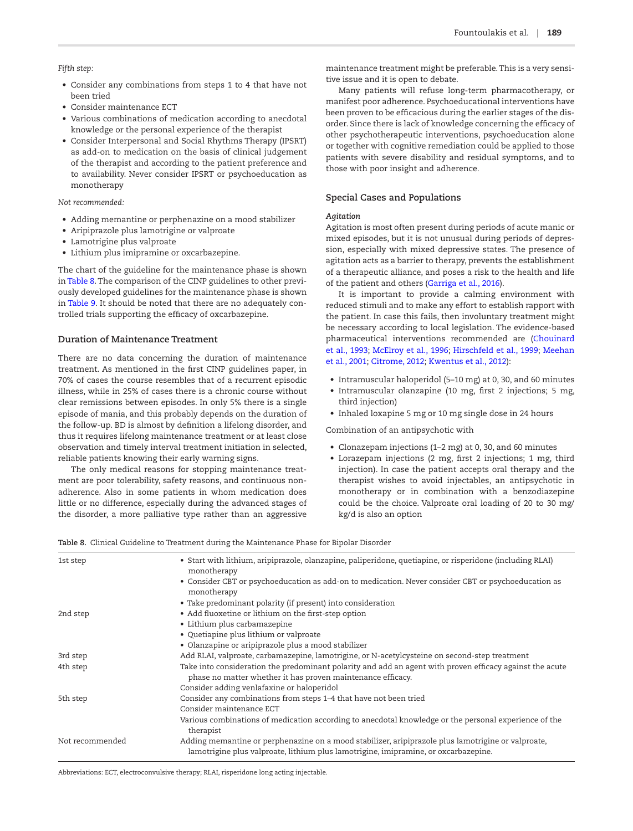#### *Fifth step:*

- Consider any combinations from steps 1 to 4 that have not been tried
- Consider maintenance ECT
- Various combinations of medication according to anecdotal knowledge or the personal experience of the therapist
- Consider Interpersonal and Social Rhythms Therapy (IPSRT) as add-on to medication on the basis of clinical judgement of the therapist and according to the patient preference and to availability. Never consider IPSRT or psychoeducation as monotherapy

## *Not recommended:*

- Adding memantine or perphenazine on a mood stabilizer
- Aripiprazole plus lamotrigine or valproate
- Lamotrigine plus valproate
- Lithium plus imipramine or oxcarbazepine.

The chart of the guideline for the maintenance phase is shown in [Table 8.](#page-9-0) The comparison of the CINP guidelines to other previously developed guidelines for the maintenance phase is shown in [Table 9.](#page-10-0) It should be noted that there are no adequately controlled trials supporting the efficacy of oxcarbazepine.

### **Duration of Maintenance Treatment**

There are no data concerning the duration of maintenance treatment. As mentioned in the first CINP guidelines paper, in 70% of cases the course resembles that of a recurrent episodic illness, while in 25% of cases there is a chronic course without clear remissions between episodes. In only 5% there is a single episode of mania, and this probably depends on the duration of the follow-up. BD is almost by definition a lifelong disorder, and thus it requires lifelong maintenance treatment or at least close observation and timely interval treatment initiation in selected, reliable patients knowing their early warning signs.

The only medical reasons for stopping maintenance treatment are poor tolerability, safety reasons, and continuous nonadherence. Also in some patients in whom medication does little or no difference, especially during the advanced stages of the disorder, a more palliative type rather than an aggressive maintenance treatment might be preferable. This is a very sensitive issue and it is open to debate.

Many patients will refuse long-term pharmacotherapy, or manifest poor adherence. Psychoeducational interventions have been proven to be efficacious during the earlier stages of the disorder. Since there is lack of knowledge concerning the efficacy of other psychotherapeutic interventions, psychoeducation alone or together with cognitive remediation could be applied to those patients with severe disability and residual symptoms, and to those with poor insight and adherence.

#### **Special Cases and Populations**

#### *Agitation*

Agitation is most often present during periods of acute manic or mixed episodes, but it is not unusual during periods of depression, especially with mixed depressive states. The presence of agitation acts as a barrier to therapy, prevents the establishment of a therapeutic alliance, and poses a risk to the health and life of the patient and others ([Garriga et al., 2016](#page-13-7)).

It is important to provide a calming environment with reduced stimuli and to make any effort to establish rapport with the patient. In case this fails, then involuntary treatment might be necessary according to local legislation. The evidence-based pharmaceutical interventions recommended are ([Chouinard](#page-13-10)  [et al., 1993](#page-13-10); [McElroy et al., 1996;](#page-14-3) [Hirschfeld et al., 1999](#page-14-4); [Meehan](#page-14-5)  [et al., 2001](#page-14-5); [Citrome, 2012](#page-13-11); [Kwentus et al., 2012](#page-14-6)):

- Intramuscular haloperidol (5–10 mg) at 0, 30, and 60 minutes
- Intramuscular olanzapine (10 mg, first 2 injections; 5 mg, third injection)
- Inhaled loxapine 5 mg or 10 mg single dose in 24 hours

Combination of an antipsychotic with

- Clonazepam injections (1–2 mg) at 0, 30, and 60 minutes
- Lorazepam injections (2 mg, first 2 injections; 1 mg, third injection). In case the patient accepts oral therapy and the therapist wishes to avoid injectables, an antipsychotic in monotherapy or in combination with a benzodiazepine could be the choice. Valproate oral loading of 20 to 30 mg/ kg/d is also an option

<span id="page-9-0"></span>**Table 8.** Clinical Guideline to Treatment during the Maintenance Phase for Bipolar Disorder

| • Start with lithium, aripiprazole, olanzapine, paliperidone, quetiapine, or risperidone (including RLAI)<br>monotherapy                                                                  |  |  |  |  |  |  |  |  |
|-------------------------------------------------------------------------------------------------------------------------------------------------------------------------------------------|--|--|--|--|--|--|--|--|
| • Consider CBT or psychoeducation as add-on to medication. Never consider CBT or psychoeducation as<br>monotherapy                                                                        |  |  |  |  |  |  |  |  |
| • Take predominant polarity (if present) into consideration                                                                                                                               |  |  |  |  |  |  |  |  |
| • Add fluoxetine or lithium on the first-step option                                                                                                                                      |  |  |  |  |  |  |  |  |
| • Lithium plus carbamazepine                                                                                                                                                              |  |  |  |  |  |  |  |  |
| • Quetiapine plus lithium or valproate                                                                                                                                                    |  |  |  |  |  |  |  |  |
| · Olanzapine or aripiprazole plus a mood stabilizer                                                                                                                                       |  |  |  |  |  |  |  |  |
| Add RLAI, valproate, carbamazepine, lamotrigine, or N-acetylcysteine on second-step treatment                                                                                             |  |  |  |  |  |  |  |  |
| Take into consideration the predominant polarity and add an agent with proven efficacy against the acute<br>phase no matter whether it has proven maintenance efficacy.                   |  |  |  |  |  |  |  |  |
| Consider adding venlafaxine or haloperidol                                                                                                                                                |  |  |  |  |  |  |  |  |
| Consider any combinations from steps 1–4 that have not been tried                                                                                                                         |  |  |  |  |  |  |  |  |
| Consider maintenance ECT                                                                                                                                                                  |  |  |  |  |  |  |  |  |
| Various combinations of medication according to anecdotal knowledge or the personal experience of the<br>therapist                                                                        |  |  |  |  |  |  |  |  |
| Adding memantine or perphenazine on a mood stabilizer, aripiprazole plus lamotrigine or valproate,<br>lamotrigine plus valproate, lithium plus lamotrigine, imipramine, or oxcarbazepine. |  |  |  |  |  |  |  |  |
|                                                                                                                                                                                           |  |  |  |  |  |  |  |  |

Abbreviations: ECT, electroconvulsive therapy; RLAI, risperidone long acting injectable.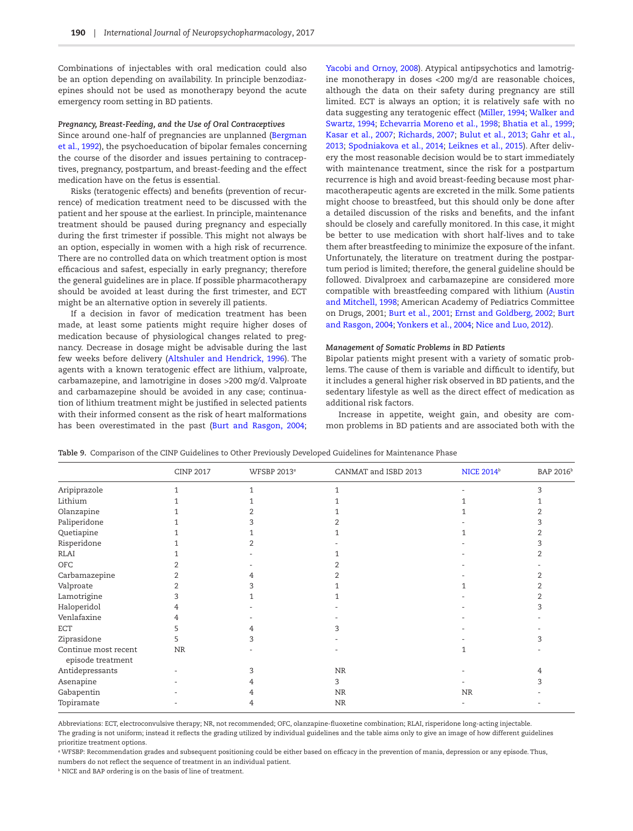Combinations of injectables with oral medication could also be an option depending on availability. In principle benzodiazepines should not be used as monotherapy beyond the acute emergency room setting in BD patients.

#### *Pregnancy, Breast-Feeding, and the Use of Oral Contraceptives*

Since around one-half of pregnancies are unplanned ([Bergman](#page-13-12)  [et al., 1992](#page-13-12)), the psychoeducation of bipolar females concerning the course of the disorder and issues pertaining to contraceptives, pregnancy, postpartum, and breast-feeding and the effect medication have on the fetus is essential.

Risks (teratogenic effects) and benefits (prevention of recurrence) of medication treatment need to be discussed with the patient and her spouse at the earliest. In principle, maintenance treatment should be paused during pregnancy and especially during the first trimester if possible. This might not always be an option, especially in women with a high risk of recurrence. There are no controlled data on which treatment option is most efficacious and safest, especially in early pregnancy; therefore the general guidelines are in place. If possible pharmacotherapy should be avoided at least during the first trimester, and ECT might be an alternative option in severely ill patients.

If a decision in favor of medication treatment has been made, at least some patients might require higher doses of medication because of physiological changes related to pregnancy. Decrease in dosage might be advisable during the last few weeks before delivery [\(Altshuler and Hendrick, 1996\)](#page-12-1). The agents with a known teratogenic effect are lithium, valproate, carbamazepine, and lamotrigine in doses >200 mg/d. Valproate and carbamazepine should be avoided in any case; continuation of lithium treatment might be justified in selected patients with their informed consent as the risk of heart malformations has been overestimated in the past ([Burt and Rasgon, 2004;](#page-13-13)

[Yacobi and Ornoy, 2008](#page-15-6)). Atypical antipsychotics and lamotrigine monotherapy in doses <200 mg/d are reasonable choices, although the data on their safety during pregnancy are still limited. ECT is always an option; it is relatively safe with no data suggesting any teratogenic effect [\(Miller, 1994](#page-14-7); [Walker and](#page-15-7)  [Swartz, 1994;](#page-15-7) [Echevarria Moreno et al., 1998;](#page-13-14) [Bhatia et al., 1999;](#page-13-15) [Kasar et al., 2007;](#page-14-8) [Richards, 2007;](#page-15-8) [Bulut et al., 2013;](#page-13-16) [Gahr et al.,](#page-13-17)  [2013](#page-13-17); [Spodniakova et al., 2014](#page-15-9); [Leiknes et al., 2015](#page-14-9)). After delivery the most reasonable decision would be to start immediately with maintenance treatment, since the risk for a postpartum recurrence is high and avoid breast-feeding because most pharmacotherapeutic agents are excreted in the milk. Some patients might choose to breastfeed, but this should only be done after a detailed discussion of the risks and benefits, and the infant should be closely and carefully monitored. In this case, it might be better to use medication with short half-lives and to take them after breastfeeding to minimize the exposure of the infant. Unfortunately, the literature on treatment during the postpartum period is limited; therefore, the general guideline should be followed. Divalproex and carbamazepine are considered more compatible with breastfeeding compared with lithium [\(Austin](#page-13-18)  [and Mitchell, 1998](#page-13-18); American Academy of Pediatrics Committee on Drugs, 2001; [Burt et al., 2001;](#page-13-19) [Ernst and Goldberg, 2002](#page-13-20); [Burt](#page-13-13)  [and Rasgon, 2004;](#page-13-13) [Yonkers et al., 2004;](#page-15-10) [Nice and Luo, 2012](#page-14-10)).

#### *Management of Somatic Problems in BD Patients*

Bipolar patients might present with a variety of somatic problems. The cause of them is variable and difficult to identify, but it includes a general higher risk observed in BD patients, and the sedentary lifestyle as well as the direct effect of medication as additional risk factors.

Increase in appetite, weight gain, and obesity are common problems in BD patients and are associated both with the

|                                           | <b>CINP 2017</b> | WFSBP 2013 <sup>a</sup> | CANMAT and ISBD 2013 | <b>NICE 2014</b> <sup>b</sup> | BAP 2016 <sup>b</sup> |
|-------------------------------------------|------------------|-------------------------|----------------------|-------------------------------|-----------------------|
| Aripiprazole                              |                  |                         |                      |                               |                       |
| Lithium                                   |                  |                         |                      |                               |                       |
| Olanzapine                                |                  |                         |                      |                               |                       |
| Paliperidone                              |                  |                         |                      |                               |                       |
| Quetiapine                                |                  |                         |                      |                               |                       |
| Risperidone                               |                  |                         |                      |                               |                       |
| RLAI                                      |                  |                         |                      |                               |                       |
| <b>OFC</b>                                |                  |                         |                      |                               |                       |
| Carbamazepine                             |                  |                         |                      |                               |                       |
| Valproate                                 |                  |                         |                      |                               |                       |
| Lamotrigine                               |                  |                         |                      |                               |                       |
| Haloperidol                               |                  |                         |                      |                               |                       |
| Venlafaxine                               |                  |                         |                      |                               |                       |
| <b>ECT</b>                                |                  |                         |                      |                               |                       |
| Ziprasidone                               |                  |                         |                      |                               |                       |
| Continue most recent<br>episode treatment | <b>NR</b>        |                         |                      |                               |                       |
| Antidepressants                           |                  |                         | NR                   |                               |                       |
| Asenapine                                 |                  |                         | 3                    |                               |                       |
| Gabapentin                                |                  |                         | <b>NR</b>            | NR                            |                       |
| Topiramate                                |                  |                         | <b>NR</b>            |                               |                       |

<span id="page-10-0"></span>**Table 9.** Comparison of the CINP Guidelines to Other Previously Developed Guidelines for Maintenance Phase

Abbreviations: ECT, electroconvulsive therapy; NR, not recommended; OFC, olanzapine-fluoxetine combination; RLAI, risperidone long-acting injectable.

The grading is not uniform; instead it reflects the grading utilized by individual guidelines and the table aims only to give an image of how different guidelines prioritize treatment options.

*a* WFSBP: Recommendation grades and subsequent positioning could be either based on efficacy in the prevention of mania, depression or any episode. Thus, numbers do not reflect the sequence of treatment in an individual patient.

*b* NICE and BAP ordering is on the basis of line of treatment.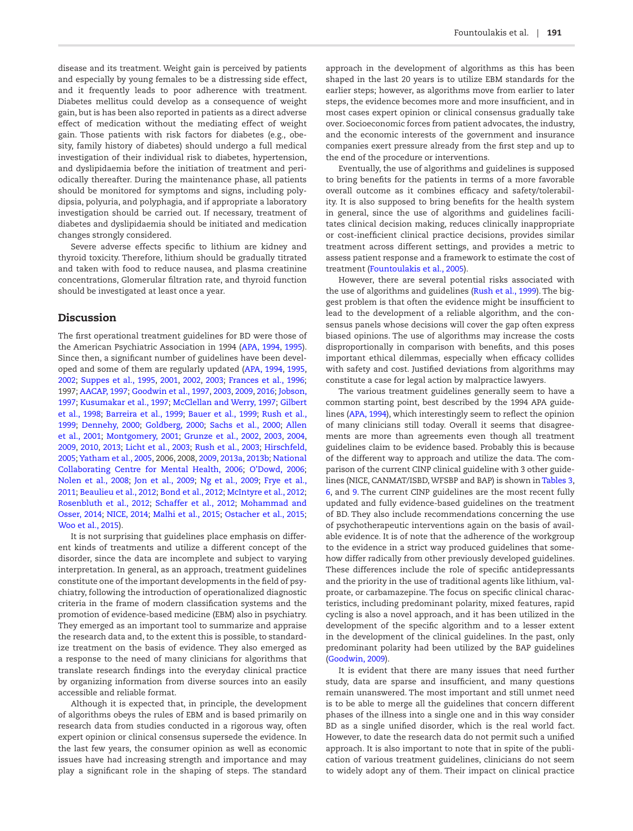disease and its treatment. Weight gain is perceived by patients and especially by young females to be a distressing side effect, and it frequently leads to poor adherence with treatment. Diabetes mellitus could develop as a consequence of weight gain, but is has been also reported in patients as a direct adverse effect of medication without the mediating effect of weight gain. Those patients with risk factors for diabetes (e.g., obesity, family history of diabetes) should undergo a full medical investigation of their individual risk to diabetes, hypertension, and dyslipidaemia before the initiation of treatment and periodically thereafter. During the maintenance phase, all patients should be monitored for symptoms and signs, including polydipsia, polyuria, and polyphagia, and if appropriate a laboratory investigation should be carried out. If necessary, treatment of diabetes and dyslipidaemia should be initiated and medication changes strongly considered.

Severe adverse effects specific to lithium are kidney and thyroid toxicity. Therefore, lithium should be gradually titrated and taken with food to reduce nausea, and plasma creatinine concentrations, Glomerular filtration rate, and thyroid function should be investigated at least once a year.

## Discussion

The first operational treatment guidelines for BD were those of the American Psychiatric Association in 1994 [\(APA, 1994](#page-13-21), [1995](#page-13-22)). Since then, a significant number of guidelines have been developed and some of them are regularly updated [\(APA, 1994,](#page-13-21) [1995,](#page-13-22) [2002](#page-13-23); [Suppes et al., 1995](#page-15-11), [2001](#page-15-12), [2002,](#page-15-13) [2003](#page-15-14); [Frances et al., 1996;](#page-13-24) 1997; [AACAP, 1997](#page-12-2); [Goodwin et al., 1997](#page-13-25), [2003,](#page-14-11) [2009,](#page-14-12) [2016](#page-13-26); [Jobson,](#page-14-13)  [1997](#page-14-13); [Kusumakar et al., 1997;](#page-14-14) [McClellan and Werry, 1997;](#page-14-15) [Gilbert](#page-13-27)  [et al., 1998;](#page-13-27) [Barreira et al., 1999](#page-13-28); [Bauer et al., 1999;](#page-13-29) [Rush et al.,](#page-15-15)  [1999](#page-15-15); [Dennehy, 2000](#page-13-30); [Goldberg, 2000;](#page-13-31) [Sachs et al., 2000;](#page-15-16) [Allen](#page-12-3)  [et al., 2001](#page-12-3); [Montgomery, 2001](#page-14-16); [Grunze et al., 2002,](#page-14-17) [2003](#page-14-11), [2004,](#page-14-18) [2009](#page-14-12), [2010](#page-14-19), [2013;](#page-14-20) [Licht et al., 2003;](#page-14-11) [Rush et al., 2003](#page-15-14); [Hirschfeld,](#page-14-21)  [2005](#page-14-21); [Yatham et al., 2005](#page-15-17), 2006, 2008, [2009,](#page-14-22) [2013a](#page-15-18), [2013b](#page-15-19); [National](#page-14-23)  [Collaborating Centre for Mental Health, 2006;](#page-14-23) [O'Dowd, 2006;](#page-15-20) [Nolen et al., 2008](#page-15-21); [Jon et al., 2009;](#page-14-24) [Ng et al., 2009](#page-14-22); [Frye et al.,](#page-13-32)  [2011](#page-13-32); [Beaulieu et al., 2012](#page-13-33); [Bond et al., 2012;](#page-13-34) [McIntyre et al., 2012;](#page-13-33) [Rosenbluth et al., 2012;](#page-15-22) [Schaffer et al., 2012](#page-13-33); [Mohammad and](#page-14-25)  [Osser, 2014;](#page-14-25) [NICE, 2014](#page-14-1); [Malhi et al., 2015](#page-14-26); [Ostacher et al., 2015;](#page-15-23) [Woo et al., 2015\)](#page-15-24).

It is not surprising that guidelines place emphasis on different kinds of treatments and utilize a different concept of the disorder, since the data are incomplete and subject to varying interpretation. In general, as an approach, treatment guidelines constitute one of the important developments in the field of psychiatry, following the introduction of operationalized diagnostic criteria in the frame of modern classification systems and the promotion of evidence-based medicine (EBM) also in psychiatry. They emerged as an important tool to summarize and appraise the research data and, to the extent this is possible, to standardize treatment on the basis of evidence. They also emerged as a response to the need of many clinicians for algorithms that translate research findings into the everyday clinical practice by organizing information from diverse sources into an easily accessible and reliable format.

Although it is expected that, in principle, the development of algorithms obeys the rules of EBM and is based primarily on research data from studies conducted in a rigorous way, often expert opinion or clinical consensus supersede the evidence. In the last few years, the consumer opinion as well as economic issues have had increasing strength and importance and may play a significant role in the shaping of steps. The standard

approach in the development of algorithms as this has been shaped in the last 20 years is to utilize EBM standards for the earlier steps; however, as algorithms move from earlier to later steps, the evidence becomes more and more insufficient, and in most cases expert opinion or clinical consensus gradually take over. Socioeconomic forces from patient advocates, the industry, and the economic interests of the government and insurance companies exert pressure already from the first step and up to the end of the procedure or interventions.

Eventually, the use of algorithms and guidelines is supposed to bring benefits for the patients in terms of a more favorable overall outcome as it combines efficacy and safety/tolerability. It is also supposed to bring benefits for the health system in general, since the use of algorithms and guidelines facilitates clinical decision making, reduces clinically inappropriate or cost-inefficient clinical practice decisions, provides similar treatment across different settings, and provides a metric to assess patient response and a framework to estimate the cost of treatment [\(Fountoulakis et al., 2005](#page-13-35)).

However, there are several potential risks associated with the use of algorithms and guidelines ([Rush et al., 1999\)](#page-15-15). The biggest problem is that often the evidence might be insufficient to lead to the development of a reliable algorithm, and the consensus panels whose decisions will cover the gap often express biased opinions. The use of algorithms may increase the costs disproportionally in comparison with benefits, and this poses important ethical dilemmas, especially when efficacy collides with safety and cost. Justified deviations from algorithms may constitute a case for legal action by malpractice lawyers.

The various treatment guidelines generally seem to have a common starting point, best described by the 1994 APA guidelines ([APA, 1994\)](#page-13-21), which interestingly seem to reflect the opinion of many clinicians still today. Overall it seems that disagreements are more than agreements even though all treatment guidelines claim to be evidence based. Probably this is because of the different way to approach and utilize the data. The comparison of the current CINP clinical guideline with 3 other guidelines (NICE, CANMAT/ISBD, WFSBP and BAP) is shown in [Tables 3,](#page-5-0) [6,](#page-5-0) and [9.](#page-10-0) The current CINP guidelines are the most recent fully updated and fully evidence-based guidelines on the treatment of BD. They also include recommendations concerning the use of psychotherapeutic interventions again on the basis of available evidence. It is of note that the adherence of the workgroup to the evidence in a strict way produced guidelines that somehow differ radically from other previously developed guidelines. These differences include the role of specific antidepressants and the priority in the use of traditional agents like lithium, valproate, or carbamazepine. The focus on specific clinical characteristics, including predominant polarity, mixed features, rapid cycling is also a novel approach, and it has been utilized in the development of the specific algorithm and to a lesser extent in the development of the clinical guidelines. In the past, only predominant polarity had been utilized by the BAP guidelines [\(Goodwin, 2009](#page-13-36)).

It is evident that there are many issues that need further study, data are sparse and insufficient, and many questions remain unanswered. The most important and still unmet need is to be able to merge all the guidelines that concern different phases of the illness into a single one and in this way consider BD as a single unified disorder, which is the real world fact. However, to date the research data do not permit such a unified approach. It is also important to note that in spite of the publication of various treatment guidelines, clinicians do not seem to widely adopt any of them. Their impact on clinical practice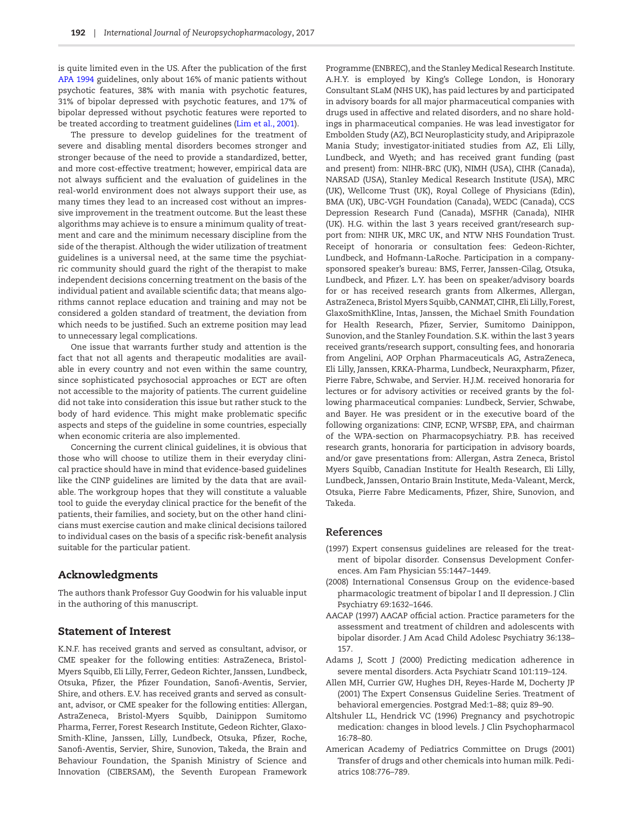is quite limited even in the US. After the publication of the first [APA 1994](#page-13-21) guidelines, only about 16% of manic patients without psychotic features, 38% with mania with psychotic features, 31% of bipolar depressed with psychotic features, and 17% of bipolar depressed without psychotic features were reported to be treated according to treatment guidelines ([Lim et al., 2001](#page-14-27)).

The pressure to develop guidelines for the treatment of severe and disabling mental disorders becomes stronger and stronger because of the need to provide a standardized, better, and more cost-effective treatment; however, empirical data are not always sufficient and the evaluation of guidelines in the real-world environment does not always support their use, as many times they lead to an increased cost without an impressive improvement in the treatment outcome. But the least these algorithms may achieve is to ensure a minimum quality of treatment and care and the minimum necessary discipline from the side of the therapist. Although the wider utilization of treatment guidelines is a universal need, at the same time the psychiatric community should guard the right of the therapist to make independent decisions concerning treatment on the basis of the individual patient and available scientific data; that means algorithms cannot replace education and training and may not be considered a golden standard of treatment, the deviation from which needs to be justified. Such an extreme position may lead to unnecessary legal complications.

One issue that warrants further study and attention is the fact that not all agents and therapeutic modalities are available in every country and not even within the same country, since sophisticated psychosocial approaches or ECT are often not accessible to the majority of patients. The current guideline did not take into consideration this issue but rather stuck to the body of hard evidence. This might make problematic specific aspects and steps of the guideline in some countries, especially when economic criteria are also implemented.

Concerning the current clinical guidelines, it is obvious that those who will choose to utilize them in their everyday clinical practice should have in mind that evidence-based guidelines like the CINP guidelines are limited by the data that are available. The workgroup hopes that they will constitute a valuable tool to guide the everyday clinical practice for the benefit of the patients, their families, and society, but on the other hand clinicians must exercise caution and make clinical decisions tailored to individual cases on the basis of a specific risk-benefit analysis suitable for the particular patient.

## Acknowledgments

The authors thank Professor Guy Goodwin for his valuable input in the authoring of this manuscript.

## Statement of Interest

K.N.F. has received grants and served as consultant, advisor, or CME speaker for the following entities: AstraZeneca, Bristol-Myers Squibb, Eli Lilly, Ferrer, Gedeon Richter, Janssen, Lundbeck, Otsuka, Pfizer, the Pfizer Foundation, Sanofi-Aventis, Servier, Shire, and others. E.V. has received grants and served as consultant, advisor, or CME speaker for the following entities: Allergan, AstraZeneca, Bristol-Myers Squibb, Dainippon Sumitomo Pharma, Ferrer, Forest Research Institute, Gedeon Richter, Glaxo-Smith-Kline, Janssen, Lilly, Lundbeck, Otsuka, Pfizer, Roche, Sanofi-Aventis, Servier, Shire, Sunovion, Takeda, the Brain and Behaviour Foundation, the Spanish Ministry of Science and Innovation (CIBERSAM), the Seventh European Framework

Programme (ENBREC), and the Stanley Medical Research Institute. A.H.Y. is employed by King's College London, is Honorary Consultant SLaM (NHS UK), has paid lectures by and participated in advisory boards for all major pharmaceutical companies with drugs used in affective and related disorders, and no share holdings in pharmaceutical companies. He was lead investigator for Embolden Study (AZ), BCI Neuroplasticity study, and Aripiprazole Mania Study; investigator-initiated studies from AZ, Eli Lilly, Lundbeck, and Wyeth; and has received grant funding (past and present) from: NIHR-BRC (UK), NIMH (USA), CIHR (Canada), NARSAD (USA), Stanley Medical Research Institute (USA), MRC (UK), Wellcome Trust (UK), Royal College of Physicians (Edin), BMA (UK), UBC-VGH Foundation (Canada), WEDC (Canada), CCS Depression Research Fund (Canada), MSFHR (Canada), NIHR (UK). H.G. within the last 3 years received grant/research support from: NIHR UK, MRC UK, and NTW NHS Foundation Trust. Receipt of honoraria or consultation fees: Gedeon-Richter, Lundbeck, and Hofmann-LaRoche. Participation in a companysponsored speaker's bureau: BMS, Ferrer, Janssen-Cilag, Otsuka, Lundbeck, and Pfizer. L.Y. has been on speaker/advisory boards for or has received research grants from Alkermes, Allergan, AstraZeneca, Bristol Myers Squibb, CANMAT, CIHR, Eli Lilly, Forest, GlaxoSmithKline, Intas, Janssen, the Michael Smith Foundation for Health Research, Pfizer, Servier, Sumitomo Dainippon, Sunovion, and the Stanley Foundation. S.K. within the last 3 years received grants/research support, consulting fees, and honoraria from Angelini, AOP Orphan Pharmaceuticals AG, AstraZeneca, Eli Lilly, Janssen, KRKA-Pharma, Lundbeck, Neuraxpharm, Pfizer, Pierre Fabre, Schwabe, and Servier. H.J.M. received honoraria for lectures or for advisory activities or received grants by the following pharmaceutical companies: Lundbeck, Servier, Schwabe, and Bayer. He was president or in the executive board of the following organizations: CINP, ECNP, WFSBP, EPA, and chairman of the WPA-section on Pharmacopsychiatry. P.B. has received research grants, honoraria for participation in advisory boards, and/or gave presentations from: Allergan, Astra Zeneca, Bristol Myers Squibb, Canadian Institute for Health Research, Eli Lilly, Lundbeck, Janssen, Ontario Brain Institute, Meda-Valeant, Merck, Otsuka, Pierre Fabre Medicaments, Pfizer, Shire, Sunovion, and Takeda.

## **References**

- (1997) Expert consensus guidelines are released for the treatment of bipolar disorder. Consensus Development Conferences. Am Fam Physician 55:1447–1449.
- (2008) International Consensus Group on the evidence-based pharmacologic treatment of bipolar I and II depression. J Clin Psychiatry 69:1632–1646.
- <span id="page-12-2"></span>AACAP (1997) AACAP official action. Practice parameters for the assessment and treatment of children and adolescents with bipolar disorder. J Am Acad Child Adolesc Psychiatry 36:138– 157.
- <span id="page-12-0"></span>Adams J, Scott J (2000) Predicting medication adherence in severe mental disorders. Acta Psychiatr Scand 101:119–124.
- <span id="page-12-3"></span>Allen MH, Currier GW, Hughes DH, Reyes-Harde M, Docherty JP (2001) The Expert Consensus Guideline Series. Treatment of behavioral emergencies. Postgrad Med:1–88; quiz 89–90.
- <span id="page-12-1"></span>Altshuler LL, Hendrick VC (1996) Pregnancy and psychotropic medication: changes in blood levels. J Clin Psychopharmacol 16:78–80.
- American Academy of Pediatrics Committee on Drugs (2001) Transfer of drugs and other chemicals into human milk. Pediatrics 108:776–789.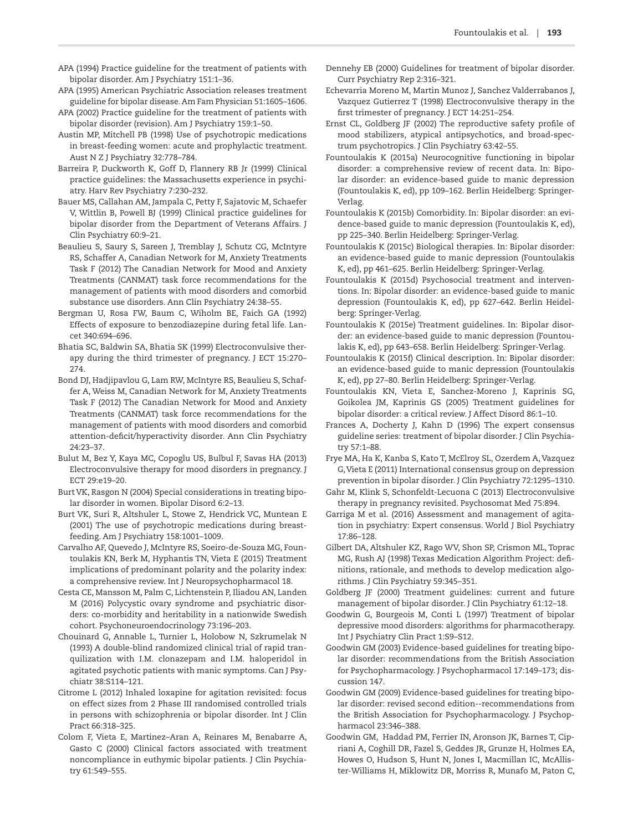- <span id="page-13-21"></span>APA (1994) Practice guideline for the treatment of patients with bipolar disorder. Am J Psychiatry 151:1–36.
- <span id="page-13-22"></span>APA (1995) American Psychiatric Association releases treatment guideline for bipolar disease. Am Fam Physician 51:1605–1606.
- <span id="page-13-23"></span>APA (2002) Practice guideline for the treatment of patients with bipolar disorder (revision). Am J Psychiatry 159:1–50.
- <span id="page-13-18"></span>Austin MP, Mitchell PB (1998) Use of psychotropic medications in breast-feeding women: acute and prophylactic treatment. Aust N Z J Psychiatry 32:778–784.
- <span id="page-13-28"></span>Barreira P, Duckworth K, Goff D, Flannery RB Jr (1999) Clinical practice guidelines: the Massachusetts experience in psychiatry. Harv Rev Psychiatry 7:230–232.
- <span id="page-13-29"></span>Bauer MS, Callahan AM, Jampala C, Petty F, Sajatovic M, Schaefer V, Wittlin B, Powell BJ (1999) Clinical practice guidelines for bipolar disorder from the Department of Veterans Affairs. J Clin Psychiatry 60:9–21.
- <span id="page-13-33"></span>Beaulieu S, Saury S, Sareen J, Tremblay J, Schutz CG, McIntyre RS, Schaffer A, Canadian Network for M, Anxiety Treatments Task F (2012) The Canadian Network for Mood and Anxiety Treatments (CANMAT) task force recommendations for the management of patients with mood disorders and comorbid substance use disorders. Ann Clin Psychiatry 24:38–55.
- <span id="page-13-12"></span>Bergman U, Rosa FW, Baum C, Wiholm BE, Faich GA (1992) Effects of exposure to benzodiazepine during fetal life. Lancet 340:694–696.
- <span id="page-13-15"></span>Bhatia SC, Baldwin SA, Bhatia SK (1999) Electroconvulsive therapy during the third trimester of pregnancy. J ECT 15:270– 274.
- <span id="page-13-34"></span>Bond DJ, Hadjipavlou G, Lam RW, McIntyre RS, Beaulieu S, Schaffer A, Weiss M, Canadian Network for M, Anxiety Treatments Task F (2012) The Canadian Network for Mood and Anxiety Treatments (CANMAT) task force recommendations for the management of patients with mood disorders and comorbid attention-deficit/hyperactivity disorder. Ann Clin Psychiatry 24:23–37.
- <span id="page-13-16"></span>Bulut M, Bez Y, Kaya MC, Copoglu US, Bulbul F, Savas HA (2013) Electroconvulsive therapy for mood disorders in pregnancy. J ECT 29:e19–20.
- <span id="page-13-13"></span>Burt VK, Rasgon N (2004) Special considerations in treating bipolar disorder in women. Bipolar Disord 6:2–13.
- <span id="page-13-19"></span>Burt VK, Suri R, Altshuler L, Stowe Z, Hendrick VC, Muntean E (2001) The use of psychotropic medications during breastfeeding. Am J Psychiatry 158:1001–1009.
- <span id="page-13-9"></span>Carvalho AF, Quevedo J, McIntyre RS, Soeiro-de-Souza MG, Fountoulakis KN, Berk M, Hyphantis TN, Vieta E (2015) Treatment implications of predominant polarity and the polarity index: a comprehensive review. Int J Neuropsychopharmacol 18.
- <span id="page-13-6"></span>Cesta CE, Mansson M, Palm C, Lichtenstein P, Iliadou AN, Landen M (2016) Polycystic ovary syndrome and psychiatric disorders: co-morbidity and heritability in a nationwide Swedish cohort. Psychoneuroendocrinology 73:196–203.
- <span id="page-13-10"></span>Chouinard G, Annable L, Turnier L, Holobow N, Szkrumelak N (1993) A double-blind randomized clinical trial of rapid tranquilization with I.M. clonazepam and I.M. haloperidol in agitated psychotic patients with manic symptoms. Can J Psychiatr 38:S114–121.
- <span id="page-13-11"></span>Citrome L (2012) Inhaled loxapine for agitation revisited: focus on effect sizes from 2 Phase III randomised controlled trials in persons with schizophrenia or bipolar disorder. Int J Clin Pract 66:318–325.
- <span id="page-13-8"></span>Colom F, Vieta E, Martinez–Aran A, Reinares M, Benabarre A, Gasto C (2000) Clinical factors associated with treatment noncompliance in euthymic bipolar patients. J Clin Psychiatry 61:549–555.
- <span id="page-13-30"></span>Dennehy EB (2000) Guidelines for treatment of bipolar disorder. Curr Psychiatry Rep 2:316–321.
- <span id="page-13-14"></span>Echevarria Moreno M, Martin Munoz J, Sanchez Valderrabanos J, Vazquez Gutierrez T (1998) Electroconvulsive therapy in the first trimester of pregnancy. J ECT 14:251–254.
- <span id="page-13-20"></span>Ernst CL, Goldberg JF (2002) The reproductive safety profile of mood stabilizers, atypical antipsychotics, and broad-spectrum psychotropics. J Clin Psychiatry 63:42–55.
- <span id="page-13-0"></span>Fountoulakis K (2015a) Neurocognitive functioning in bipolar disorder: a comprehensive review of recent data. In: Bipolar disorder: an evidence-based guide to manic depression (Fountoulakis K, ed), pp 109–162. Berlin Heidelberg: Springer-Verlag.
- <span id="page-13-1"></span>Fountoulakis K (2015b) Comorbidity. In: Bipolar disorder: an evidence-based guide to manic depression (Fountoulakis K, ed), pp 225–340. Berlin Heidelberg: Springer-Verlag.
- <span id="page-13-2"></span>Fountoulakis K (2015c) Biological therapies. In: Bipolar disorder: an evidence-based guide to manic depression (Fountoulakis K, ed), pp 461–625. Berlin Heidelberg: Springer-Verlag.
- <span id="page-13-3"></span>Fountoulakis K (2015d) Psychosocial treatment and interventions. In: Bipolar disorder: an evidence-based guide to manic depression (Fountoulakis K, ed), pp 627–642. Berlin Heidelberg: Springer-Verlag.
- <span id="page-13-4"></span>Fountoulakis K (2015e) Treatment guidelines. In: Bipolar disorder: an evidence-based guide to manic depression (Fountoulakis K, ed), pp 643–658. Berlin Heidelberg: Springer-Verlag.
- <span id="page-13-5"></span>Fountoulakis K (2015f) Clinical description. In: Bipolar disorder: an evidence-based guide to manic depression (Fountoulakis K, ed), pp 27–80. Berlin Heidelberg: Springer-Verlag.
- <span id="page-13-35"></span>Fountoulakis KN, Vieta E, Sanchez-Moreno J, Kaprinis SG, Goikolea JM, Kaprinis GS (2005) Treatment guidelines for bipolar disorder: a critical review. J Affect Disord 86:1–10.
- <span id="page-13-24"></span>Frances A, Docherty J, Kahn D (1996) The expert consensus guideline series: treatment of bipolar disorder. J Clin Psychiatry 57:1–88.
- <span id="page-13-32"></span>Frye MA, Ha K, Kanba S, Kato T, McElroy SL, Ozerdem A, Vazquez G, Vieta E (2011) International consensus group on depression prevention in bipolar disorder. J Clin Psychiatry 72:1295–1310.
- <span id="page-13-17"></span>Gahr M, Klink S, Schonfeldt-Lecuona C (2013) Electroconvulsive therapy in pregnancy revisited. Psychosomat Med 75:894.
- <span id="page-13-7"></span>Garriga M et al. (2016) Assessment and management of agitation in psychiatry: Expert consensus. World J Biol Psychiatry 17:86–128.
- <span id="page-13-27"></span>Gilbert DA, Altshuler KZ, Rago WV, Shon SP, Crismon ML, Toprac MG, Rush AJ (1998) Texas Medication Algorithm Project: definitions, rationale, and methods to develop medication algorithms. J Clin Psychiatry 59:345–351.
- <span id="page-13-31"></span>Goldberg JF (2000) Treatment guidelines: current and future management of bipolar disorder. J Clin Psychiatry 61:12–18.
- <span id="page-13-25"></span>Goodwin G, Bourgeois M, Conti L (1997) Treatment of bipolar depressive mood disorders: algorithms for pharmacotherapy. Int J Psychiatry Clin Pract 1:S9–S12.
- Goodwin GM (2003) Evidence-based guidelines for treating bipolar disorder: recommendations from the British Association for Psychopharmacology. J Psychopharmacol 17:149–173; discussion 147.
- <span id="page-13-36"></span>Goodwin GM (2009) Evidence-based guidelines for treating bipolar disorder: revised second edition--recommendations from the British Association for Psychopharmacology. J Psychopharmacol 23:346–388.
- <span id="page-13-26"></span>Goodwin GM, Haddad PM, Ferrier IN, Aronson JK, Barnes T, Cipriani A, Coghill DR, Fazel S, Geddes JR, Grunze H, Holmes EA, Howes O, Hudson S, Hunt N, Jones I, Macmillan IC, McAllister-Williams H, Miklowitz DR, Morriss R, Munafo M, Paton C,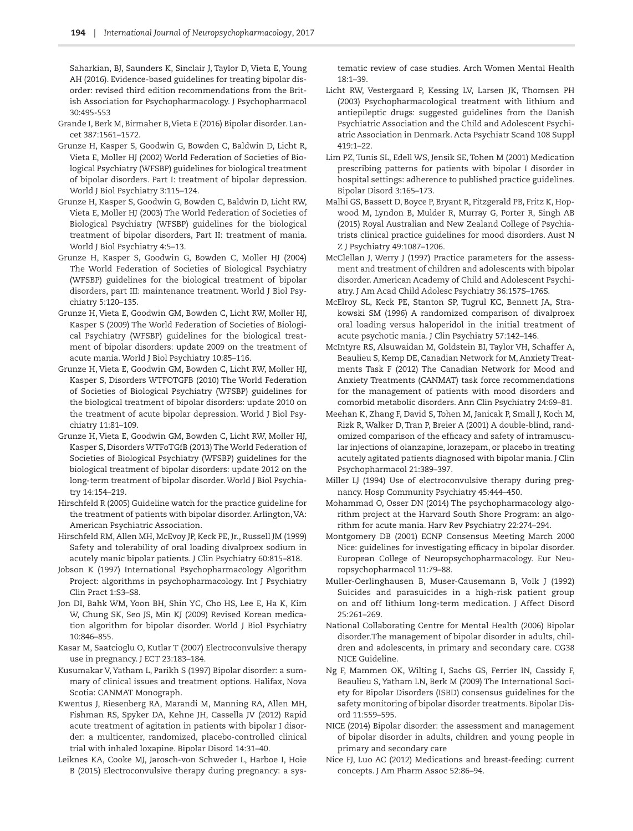Saharkian, BJ, Saunders K, Sinclair J, Taylor D, Vieta E, Young AH (2016). Evidence-based guidelines for treating bipolar disorder: revised third edition recommendations from the British Association for Psychopharmacology. J Psychopharmacol 30:495-553

- <span id="page-14-0"></span>Grande I, Berk M, Birmaher B, Vieta E (2016) Bipolar disorder. Lancet 387:1561–1572.
- <span id="page-14-17"></span>Grunze H, Kasper S, Goodwin G, Bowden C, Baldwin D, Licht R, Vieta E, Moller HJ (2002) World Federation of Societies of Biological Psychiatry (WFSBP) guidelines for biological treatment of bipolar disorders. Part I: treatment of bipolar depression. World J Biol Psychiatry 3:115–124.
- <span id="page-14-11"></span>Grunze H, Kasper S, Goodwin G, Bowden C, Baldwin D, Licht RW, Vieta E, Moller HJ (2003) The World Federation of Societies of Biological Psychiatry (WFSBP) guidelines for the biological treatment of bipolar disorders, Part II: treatment of mania. World J Biol Psychiatry 4:5–13.
- <span id="page-14-18"></span>Grunze H, Kasper S, Goodwin G, Bowden C, Moller HJ (2004) The World Federation of Societies of Biological Psychiatry (WFSBP) guidelines for the biological treatment of bipolar disorders, part III: maintenance treatment. World J Biol Psychiatry 5:120–135.
- <span id="page-14-12"></span>Grunze H, Vieta E, Goodwin GM, Bowden C, Licht RW, Moller HJ, Kasper S (2009) The World Federation of Societies of Biological Psychiatry (WFSBP) guidelines for the biological treatment of bipolar disorders: update 2009 on the treatment of acute mania. World J Biol Psychiatry 10:85–116.
- <span id="page-14-19"></span>Grunze H, Vieta E, Goodwin GM, Bowden C, Licht RW, Moller HJ, Kasper S, Disorders WTFOTGFB (2010) The World Federation of Societies of Biological Psychiatry (WFSBP) guidelines for the biological treatment of bipolar disorders: update 2010 on the treatment of acute bipolar depression. World J Biol Psychiatry 11:81–109.
- <span id="page-14-20"></span>Grunze H, Vieta E, Goodwin GM, Bowden C, Licht RW, Moller HJ, Kasper S, Disorders WTFoTGfB (2013) The World Federation of Societies of Biological Psychiatry (WFSBP) guidelines for the biological treatment of bipolar disorders: update 2012 on the long-term treatment of bipolar disorder. World J Biol Psychiatry 14:154–219.
- <span id="page-14-21"></span>Hirschfeld R (2005) Guideline watch for the practice guideline for the treatment of patients with bipolar disorder. Arlington, VA: American Psychiatric Association.
- <span id="page-14-4"></span>Hirschfeld RM, Allen MH, McEvoy JP, Keck PE, Jr., Russell JM (1999) Safety and tolerability of oral loading divalproex sodium in acutely manic bipolar patients. J Clin Psychiatry 60:815–818.
- <span id="page-14-13"></span>Jobson K (1997) International Psychopharmacology Algorithm Project: algorithms in psychopharmacology. Int J Psychiatry Clin Pract 1:S3–S8.
- <span id="page-14-24"></span>Jon DI, Bahk WM, Yoon BH, Shin YC, Cho HS, Lee E, Ha K, Kim W, Chung SK, Seo JS, Min KJ (2009) Revised Korean medication algorithm for bipolar disorder. World J Biol Psychiatry 10:846–855.
- <span id="page-14-8"></span>Kasar M, Saatcioglu O, Kutlar T (2007) Electroconvulsive therapy use in pregnancy. J ECT 23:183–184.
- <span id="page-14-14"></span>Kusumakar V, Yatham L, Parikh S (1997) Bipolar disorder: a summary of clinical issues and treatment options. Halifax, Nova Scotia: CANMAT Monograph.
- <span id="page-14-6"></span>Kwentus J, Riesenberg RA, Marandi M, Manning RA, Allen MH, Fishman RS, Spyker DA, Kehne JH, Cassella JV (2012) Rapid acute treatment of agitation in patients with bipolar I disorder: a multicenter, randomized, placebo-controlled clinical trial with inhaled loxapine. Bipolar Disord 14:31–40.
- <span id="page-14-9"></span>Leiknes KA, Cooke MJ, Jarosch-von Schweder L, Harboe I, Hoie B (2015) Electroconvulsive therapy during pregnancy: a sys-

tematic review of case studies. Arch Women Mental Health 18:1–39.

- Licht RW, Vestergaard P, Kessing LV, Larsen JK, Thomsen PH (2003) Psychopharmacological treatment with lithium and antiepileptic drugs: suggested guidelines from the Danish Psychiatric Association and the Child and Adolescent Psychiatric Association in Denmark. Acta Psychiatr Scand 108 Suppl 419:1–22.
- <span id="page-14-27"></span>Lim PZ, Tunis SL, Edell WS, Jensik SE, Tohen M (2001) Medication prescribing patterns for patients with bipolar I disorder in hospital settings: adherence to published practice guidelines. Bipolar Disord 3:165–173.
- <span id="page-14-26"></span>Malhi GS, Bassett D, Boyce P, Bryant R, Fitzgerald PB, Fritz K, Hopwood M, Lyndon B, Mulder R, Murray G, Porter R, Singh AB (2015) Royal Australian and New Zealand College of Psychiatrists clinical practice guidelines for mood disorders. Aust N Z J Psychiatry 49:1087–1206.
- <span id="page-14-15"></span>McClellan J, Werry J (1997) Practice parameters for the assessment and treatment of children and adolescents with bipolar disorder. American Academy of Child and Adolescent Psychiatry. J Am Acad Child Adolesc Psychiatry 36:157S–176S.
- <span id="page-14-3"></span>McElroy SL, Keck PE, Stanton SP, Tugrul KC, Bennett JA, Strakowski SM (1996) A randomized comparison of divalproex oral loading versus haloperidol in the initial treatment of acute psychotic mania. J Clin Psychiatry 57:142–146.
- McIntyre RS, Alsuwaidan M, Goldstein BI, Taylor VH, Schaffer A, Beaulieu S, Kemp DE, Canadian Network for M, Anxiety Treatments Task F (2012) The Canadian Network for Mood and Anxiety Treatments (CANMAT) task force recommendations for the management of patients with mood disorders and comorbid metabolic disorders. Ann Clin Psychiatry 24:69–81.
- <span id="page-14-5"></span>Meehan K, Zhang F, David S, Tohen M, Janicak P, Small J, Koch M, Rizk R, Walker D, Tran P, Breier A (2001) A double-blind, randomized comparison of the efficacy and safety of intramuscular injections of olanzapine, lorazepam, or placebo in treating acutely agitated patients diagnosed with bipolar mania. J Clin Psychopharmacol 21:389–397.
- <span id="page-14-7"></span>Miller LJ (1994) Use of electroconvulsive therapy during pregnancy. Hosp Community Psychiatry 45:444–450.
- <span id="page-14-25"></span>Mohammad O, Osser DN (2014) The psychopharmacology algorithm project at the Harvard South Shore Program: an algorithm for acute mania. Harv Rev Psychiatry 22:274–294.
- <span id="page-14-16"></span>Montgomery DB (2001) ECNP Consensus Meeting March 2000 Nice: guidelines for investigating efficacy in bipolar disorder. European College of Neuropsychopharmacology. Eur Neuropsychopharmacol 11:79–88.
- <span id="page-14-2"></span>Muller-Oerlinghausen B, Muser-Causemann B, Volk J (1992) Suicides and parasuicides in a high-risk patient group on and off lithium long-term medication. J Affect Disord 25:261–269.
- <span id="page-14-23"></span>National Collaborating Centre for Mental Health (2006) Bipolar disorder.The management of bipolar disorder in adults, children and adolescents, in primary and secondary care. CG38 NICE Guideline.
- <span id="page-14-22"></span>Ng F, Mammen OK, Wilting I, Sachs GS, Ferrier IN, Cassidy F, Beaulieu S, Yatham LN, Berk M (2009) The International Society for Bipolar Disorders (ISBD) consensus guidelines for the safety monitoring of bipolar disorder treatments. Bipolar Disord 11:559–595.
- <span id="page-14-1"></span>NICE (2014) Bipolar disorder: the assessment and management of bipolar disorder in adults, children and young people in primary and secondary care
- <span id="page-14-10"></span>Nice FJ, Luo AC (2012) Medications and breast-feeding: current concepts. J Am Pharm Assoc 52:86–94.